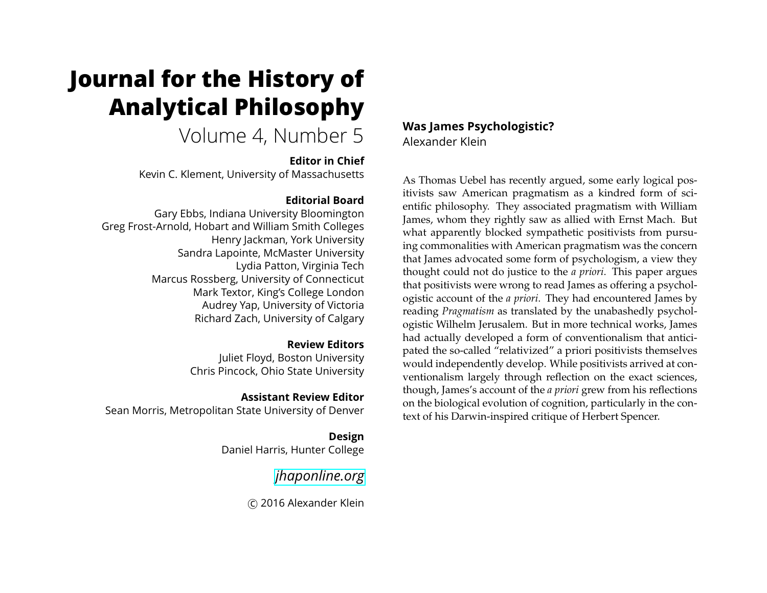# **Journal for the History of Analytical Philosophy**

# Volume 4, Number 5

#### **Editor in Chief**

Kevin C. Klement, University of Massachusetts

## **Editorial Board**

Gary Ebbs, Indiana University Bloomington Greg Frost-Arnold, Hobart and William Smith Colleges Henry Jackman, York University Sandra Lapointe, McMaster University Lydia Patton, Virginia Tech Marcus Rossberg, University of Connecticut Mark Textor, King's College London Audrey Yap, University of Victoria Richard Zach, University of Calgary

#### **Review Editors**

Juliet Floyd, Boston University Chris Pincock, Ohio State University

### **Assistant Review Editor**

Sean Morris, Metropolitan State University of Denver

**Design** Daniel Harris, Hunter College

*[jhaponline.org](https://jhaponline.org)*

c 2016 Alexander Klein

**Was James Psychologistic?** Alexander Klein

As Thomas Uebel has recently argued, some early logical positivists saw American pragmatism as a kindred form of scientific philosophy. They associated pragmatism with William James, whom they rightly saw as allied with Ernst Mach. But what apparently blocked sympathetic positivists from pursuing commonalities with American pragmatism was the concern that James advocated some form of psychologism, a view they thought could not do justice to the *a priori*. This paper argues that positivists were wrong to read James as offering a psychologistic account of the *a priori*. They had encountered James by reading *Pragmatism* as translated by the unabashedly psychologistic Wilhelm Jerusalem. But in more technical works, James had actually developed a form of conventionalism that anticipated the so-called "relativized" a priori positivists themselves would independently develop. While positivists arrived at conventionalism largely through reflection on the exact sciences, though, James's account of the *a priori* grew from his reflections on the biological evolution of cognition, particularly in the context of his Darwin-inspired critique of Herbert Spencer.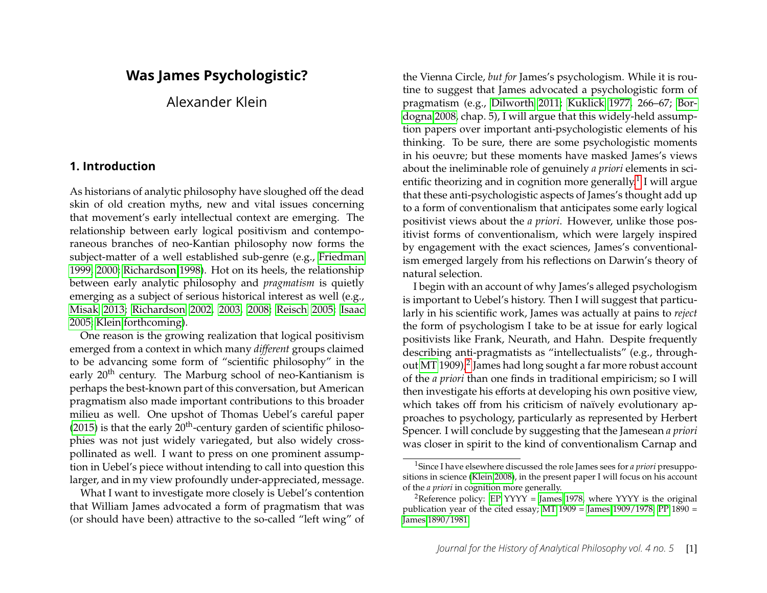# **Was James Psychologistic?**

Alexander Klein

#### **1. Introduction**

As historians of analytic philosophy have sloughed off the dead skin of old creation myths, new and vital issues concerning that movement's early intellectual context are emerging. The relationship between early logical positivism and contemporaneous branches of neo-Kantian philosophy now forms the subject-matter of a well established sub-genre (e.g., [Friedman](#page-19-0) [1999,](#page-19-0) [2000;](#page-19-1) [Richardson 1998\)](#page-21-0). Hot on its heels, the relationship between early analytic philosophy and *pragmatism* is quietly emerging as a subject of serious historical interest as well (e.g., [Misak 2013;](#page-20-0) [Richardson 2002,](#page-21-1) [2003,](#page-21-2) [2008;](#page-21-3) [Reisch 2005;](#page-21-4) [Isaac](#page-19-2) [2005;](#page-19-2) [Klein forthcoming\)](#page-20-1).

One reason is the growing realization that logical positivism emerged from a context in which many *different* groups claimed to be advancing some form of "scientific philosophy" in the early 20<sup>th</sup> century. The Marburg school of neo-Kantianism is perhaps the best-known part of this conversation, but American pragmatism also made important contributions to this broader milieu as well. One upshot of Thomas Uebel's careful paper [\(2015\)](#page-21-5) is that the early  $20<sup>th</sup>$ -century garden of scientific philosophies was not just widely variegated, but also widely crosspollinated as well. I want to press on one prominent assumption in Uebel's piece without intending to call into question this larger, and in my view profoundly under-appreciated, message.

What I want to investigate more closely is Uebel's contention that William James advocated a form of pragmatism that was (or should have been) attractive to the so-called "left wing" of

the Vienna Circle, *but for* James's psychologism. While it is routine to suggest that James advocated a psychologistic form of pragmatism (e.g., [Dilworth 2011;](#page-19-3) [Kuklick 1977,](#page-20-2) 266–67; [Bor](#page-18-0)[dogna 2008,](#page-18-0) chap. 5), I will argue that this widely-held assumption papers over important anti-psychologistic elements of his thinking. To be sure, there are some psychologistic moments in his oeuvre; but these moments have masked James's views about the ineliminable role of genuinely *a priori* elements in scientific theorizing and in cognition more generally. $^1$  $^1$  I will argue that these anti-psychologistic aspects of James's thought add up to a form of conventionalism that anticipates some early logical positivist views about the *a priori*. However, unlike those positivist forms of conventionalism, which were largely inspired by engagement with the exact sciences, James's conventionalism emerged largely from his reflections on Darwin's theory of natural selection.

I begin with an account of why James's alleged psychologism is important to Uebel's history. Then I will suggest that particularly in his scientific work, James was actually at pains to *reject* the form of psychologism I take to be at issue for early logical positivists like Frank, Neurath, and Hahn. Despite frequently describing anti-pragmatists as "intellectualists" (e.g., through-out [MT](#page-19-4) 1909), $^2$  $^2$  James had long sought a far more robust account of the *a priori* than one finds in traditional empiricism; so I will then investigate his efforts at developing his own positive view, which takes off from his criticism of naïvely evolutionary approaches to psychology, particularly as represented by Herbert Spencer. I will conclude by suggesting that the Jamesean *a priori* was closer in spirit to the kind of conventionalism Carnap and

<span id="page-1-0"></span><sup>1</sup>Since I have elsewhere discussed the role James sees for *a priori* presuppositions in science [\(Klein 2008\)](#page-20-3), in the present paper I will focus on his account of the *a priori* in cognition more generally.

<span id="page-1-1"></span><sup>&</sup>lt;sup>2</sup>Reference policy: [EP](#page-20-4) YYYY = [James 1978,](#page-20-4) where YYYY is the original publication year of the cited essay; [MT](#page-19-4)  $1909 =$  James  $1909/1978$ ; [PP](#page-19-5)  $1890 =$ [James 1890/1981.](#page-19-5)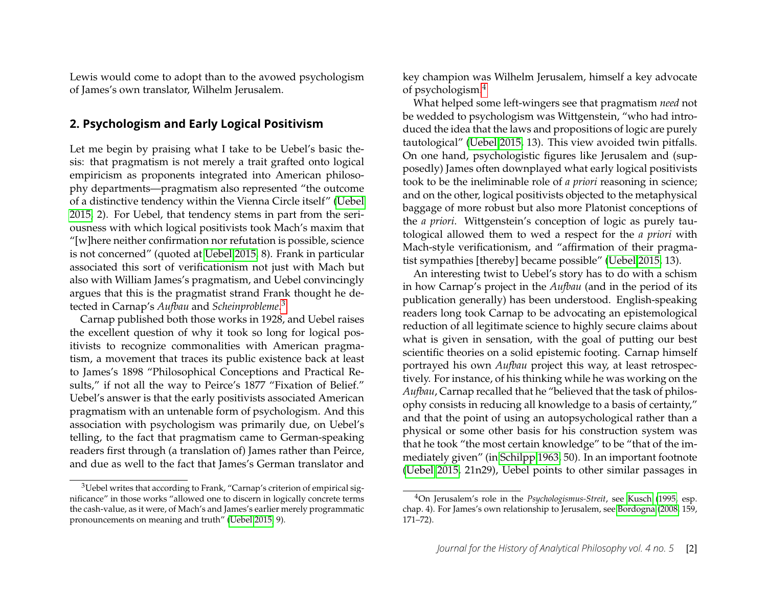Lewis would come to adopt than to the avowed psychologism of James's own translator, Wilhelm Jerusalem.

#### <span id="page-2-2"></span>**2. Psychologism and Early Logical Positivism**

Let me begin by praising what I take to be Uebel's basic thesis: that pragmatism is not merely a trait grafted onto logical empiricism as proponents integrated into American philosophy departments—pragmatism also represented "the outcome of a distinctive tendency within the Vienna Circle itself" [\(Uebel](#page-21-5) [2015,](#page-21-5) 2). For Uebel, that tendency stems in part from the seriousness with which logical positivists took Mach's maxim that "[w]here neither confirmation nor refutation is possible, science is not concerned" (quoted at [Uebel 2015,](#page-21-5) 8). Frank in particular associated this sort of verificationism not just with Mach but also with William James's pragmatism, and Uebel convincingly argues that this is the pragmatist strand Frank thought he detected in Carnap's *Aufbau* and *Scheinprobleme*. [3](#page-2-0)

Carnap published both those works in 1928, and Uebel raises the excellent question of why it took so long for logical positivists to recognize commonalities with American pragmatism, a movement that traces its public existence back at least to James's 1898 "Philosophical Conceptions and Practical Results," if not all the way to Peirce's 1877 "Fixation of Belief." Uebel's answer is that the early positivists associated American pragmatism with an untenable form of psychologism. And this association with psychologism was primarily due, on Uebel's telling, to the fact that pragmatism came to German-speaking readers first through (a translation of) James rather than Peirce, and due as well to the fact that James's German translator and

key champion was Wilhelm Jerusalem, himself a key advocate of psychologism.[4](#page-2-1)

What helped some left-wingers see that pragmatism *need* not be wedded to psychologism was Wittgenstein, "who had introduced the idea that the laws and propositions of logic are purely tautological" [\(Uebel 2015,](#page-21-5) 13). This view avoided twin pitfalls. On one hand, psychologistic figures like Jerusalem and (supposedly) James often downplayed what early logical positivists took to be the ineliminable role of *a priori* reasoning in science; and on the other, logical positivists objected to the metaphysical baggage of more robust but also more Platonist conceptions of the *a priori*. Wittgenstein's conception of logic as purely tautological allowed them to wed a respect for the *a priori* with Mach-style verificationism, and "affirmation of their pragmatist sympathies [thereby] became possible" [\(Uebel 2015,](#page-21-5) 13).

An interesting twist to Uebel's story has to do with a schism in how Carnap's project in the *Aufbau* (and in the period of its publication generally) has been understood. English-speaking readers long took Carnap to be advocating an epistemological reduction of all legitimate science to highly secure claims about what is given in sensation, with the goal of putting our best scientific theories on a solid epistemic footing. Carnap himself portrayed his own *Aufbau* project this way, at least retrospectively. For instance, of his thinking while he was working on the *Aufbau*, Carnap recalled that he "believed that the task of philosophy consists in reducing all knowledge to a basis of certainty," and that the point of using an autopsychological rather than a physical or some other basis for his construction system was that he took "the most certain knowledge" to be "that of the immediately given" (in [Schilpp 1963,](#page-21-6) 50). In an important footnote [\(Uebel 2015,](#page-21-5) 21n29), Uebel points to other similar passages in

<span id="page-2-0"></span><sup>&</sup>lt;sup>3</sup>Uebel writes that according to Frank, "Carnap's criterion of empirical significance" in those works "allowed one to discern in logically concrete terms the cash-value, as it were, of Mach's and James's earlier merely programmatic pronouncements on meaning and truth" [\(Uebel 2015,](#page-21-5) 9).

<span id="page-2-1"></span><sup>4</sup>On Jerusalem's role in the *Psychologismus-Streit*, see [Kusch](#page-20-5) [\(1995,](#page-20-5) esp. chap. 4). For James's own relationship to Jerusalem, see [Bordogna](#page-18-0) [\(2008,](#page-18-0) 159, 171–72).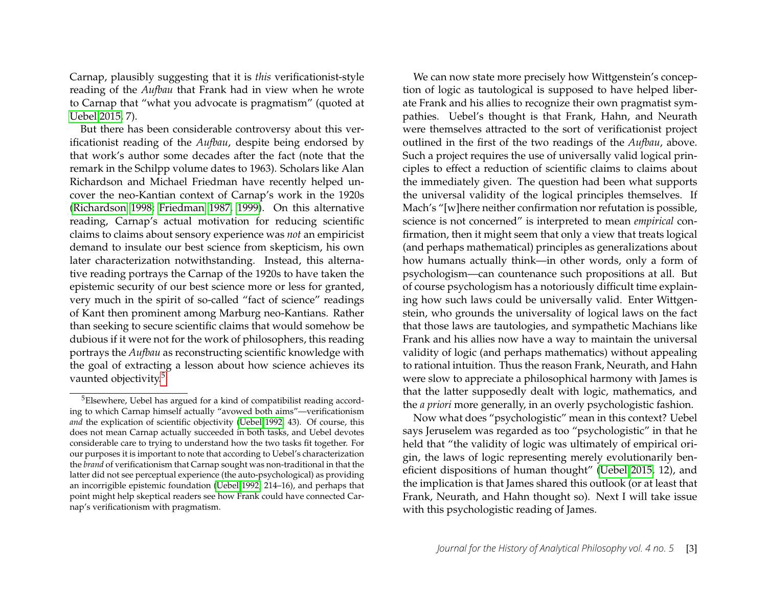Carnap, plausibly suggesting that it is *this* verificationist-style reading of the *Aufbau* that Frank had in view when he wrote to Carnap that "what you advocate is pragmatism" (quoted at [Uebel 2015,](#page-21-5) 7).

But there has been considerable controversy about this verificationist reading of the *Aufbau*, despite being endorsed by that work's author some decades after the fact (note that the remark in the Schilpp volume dates to 1963). Scholars like Alan Richardson and Michael Friedman have recently helped uncover the neo-Kantian context of Carnap's work in the 1920s [\(Richardson 1998;](#page-21-0) [Friedman 1987,](#page-19-6) [1999\)](#page-19-0). On this alternative reading, Carnap's actual motivation for reducing scientific claims to claims about sensory experience was *not* an empiricist demand to insulate our best science from skepticism, his own later characterization notwithstanding. Instead, this alternative reading portrays the Carnap of the 1920s to have taken the epistemic security of our best science more or less for granted, very much in the spirit of so-called "fact of science" readings of Kant then prominent among Marburg neo-Kantians. Rather than seeking to secure scientific claims that would somehow be dubious if it were not for the work of philosophers, this reading portrays the *Aufbau* as reconstructing scientific knowledge with the goal of extracting a lesson about how science achieves its vaunted objectivity.<sup>[5](#page-3-0)</sup>

We can now state more precisely how Wittgenstein's conception of logic as tautological is supposed to have helped liberate Frank and his allies to recognize their own pragmatist sympathies. Uebel's thought is that Frank, Hahn, and Neurath were themselves attracted to the sort of verificationist project outlined in the first of the two readings of the *Aufbau*, above. Such a project requires the use of universally valid logical principles to effect a reduction of scientific claims to claims about the immediately given. The question had been what supports the universal validity of the logical principles themselves. If Mach's "[w]here neither confirmation nor refutation is possible, science is not concerned" is interpreted to mean *empirical* confirmation, then it might seem that only a view that treats logical (and perhaps mathematical) principles as generalizations about how humans actually think—in other words, only a form of psychologism—can countenance such propositions at all. But of course psychologism has a notoriously difficult time explaining how such laws could be universally valid. Enter Wittgenstein, who grounds the universality of logical laws on the fact that those laws are tautologies, and sympathetic Machians like Frank and his allies now have a way to maintain the universal validity of logic (and perhaps mathematics) without appealing to rational intuition. Thus the reason Frank, Neurath, and Hahn were slow to appreciate a philosophical harmony with James is that the latter supposedly dealt with logic, mathematics, and the *a priori* more generally, in an overly psychologistic fashion.

Now what does "psychologistic" mean in this context? Uebel says Jeruselem was regarded as too "psychologistic" in that he held that "the validity of logic was ultimately of empirical origin, the laws of logic representing merely evolutionarily beneficient dispositions of human thought" [\(Uebel 2015,](#page-21-5) 12), and the implication is that James shared this outlook (or at least that Frank, Neurath, and Hahn thought so). Next I will take issue with this psychologistic reading of James.

<span id="page-3-0"></span><sup>5</sup>Elsewhere, Uebel has argued for a kind of compatibilist reading according to which Carnap himself actually "avowed both aims"—verificationism *and* the explication of scientific objectivity [\(Uebel 1992,](#page-21-7) 43). Of course, this does not mean Carnap actually succeeded in both tasks, and Uebel devotes considerable care to trying to understand how the two tasks fit together. For our purposes it is important to note that according to Uebel's characterization the *brand* of verificationism that Carnap sought was non-traditional in that the latter did not see perceptual experience (the auto-psychological) as providing an incorrigible epistemic foundation [\(Uebel 1992,](#page-21-7) 214–16), and perhaps that point might help skeptical readers see how Frank could have connected Carnap's verificationism with pragmatism.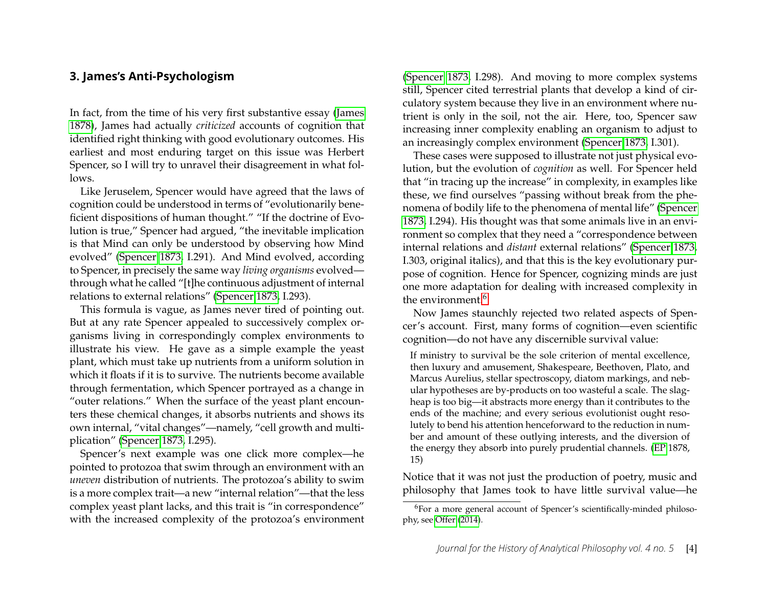#### **3. James's Anti-Psychologism**

In fact, from the time of his very first substantive essay [\(James](#page-19-7) [1878\)](#page-19-7), James had actually *criticized* accounts of cognition that identified right thinking with good evolutionary outcomes. His earliest and most enduring target on this issue was Herbert Spencer, so I will try to unravel their disagreement in what follows.

Like Jeruselem, Spencer would have agreed that the laws of cognition could be understood in terms of "evolutionarily beneficient dispositions of human thought." "If the doctrine of Evolution is true," Spencer had argued, "the inevitable implication is that Mind can only be understood by observing how Mind evolved" [\(Spencer 1873,](#page-21-8) I.291). And Mind evolved, according to Spencer, in precisely the same way *living organisms* evolved through what he called "[t]he continuous adjustment of internal relations to external relations" [\(Spencer 1873,](#page-21-8) I.293).

This formula is vague, as James never tired of pointing out. But at any rate Spencer appealed to successively complex organisms living in correspondingly complex environments to illustrate his view. He gave as a simple example the yeast plant, which must take up nutrients from a uniform solution in which it floats if it is to survive. The nutrients become available through fermentation, which Spencer portrayed as a change in "outer relations." When the surface of the yeast plant encounters these chemical changes, it absorbs nutrients and shows its own internal, "vital changes"—namely, "cell growth and multiplication" [\(Spencer 1873,](#page-21-8) I.295).

Spencer's next example was one click more complex—he pointed to protozoa that swim through an environment with an *uneven* distribution of nutrients. The protozoa's ability to swim is a more complex trait—a new "internal relation"—that the less complex yeast plant lacks, and this trait is "in correspondence" with the increased complexity of the protozoa's environment [\(Spencer 1873,](#page-21-8) I.298). And moving to more complex systems still, Spencer cited terrestrial plants that develop a kind of circulatory system because they live in an environment where nutrient is only in the soil, not the air. Here, too, Spencer saw increasing inner complexity enabling an organism to adjust to an increasingly complex environment [\(Spencer 1873,](#page-21-8) I.301).

These cases were supposed to illustrate not just physical evolution, but the evolution of *cognition* as well. For Spencer held that "in tracing up the increase" in complexity, in examples like these, we find ourselves "passing without break from the phenomena of bodily life to the phenomena of mental life" [\(Spencer](#page-21-8) [1873,](#page-21-8) I.294). His thought was that some animals live in an environment so complex that they need a "correspondence between internal relations and *distant* external relations" [\(Spencer 1873,](#page-21-8) I.303, original italics), and that this is the key evolutionary purpose of cognition. Hence for Spencer, cognizing minds are just one more adaptation for dealing with increased complexity in the environment.<sup>[6](#page-4-0)</sup>

Now James staunchly rejected two related aspects of Spencer's account. First, many forms of cognition—even scientific cognition—do not have any discernible survival value:

If ministry to survival be the sole criterion of mental excellence, then luxury and amusement, Shakespeare, Beethoven, Plato, and Marcus Aurelius, stellar spectroscopy, diatom markings, and nebular hypotheses are by-products on too wasteful a scale. The slagheap is too big—it abstracts more energy than it contributes to the ends of the machine; and every serious evolutionist ought resolutely to bend his attention henceforward to the reduction in number and amount of these outlying interests, and the diversion of the energy they absorb into purely prudential channels. [\(EP](#page-20-4) 1878, 15)

Notice that it was not just the production of poetry, music and philosophy that James took to have little survival value—he

<span id="page-4-0"></span><sup>&</sup>lt;sup>6</sup>For a more general account of Spencer's scientifically-minded philosophy, see [Offer](#page-20-6) [\(2014\)](#page-20-6).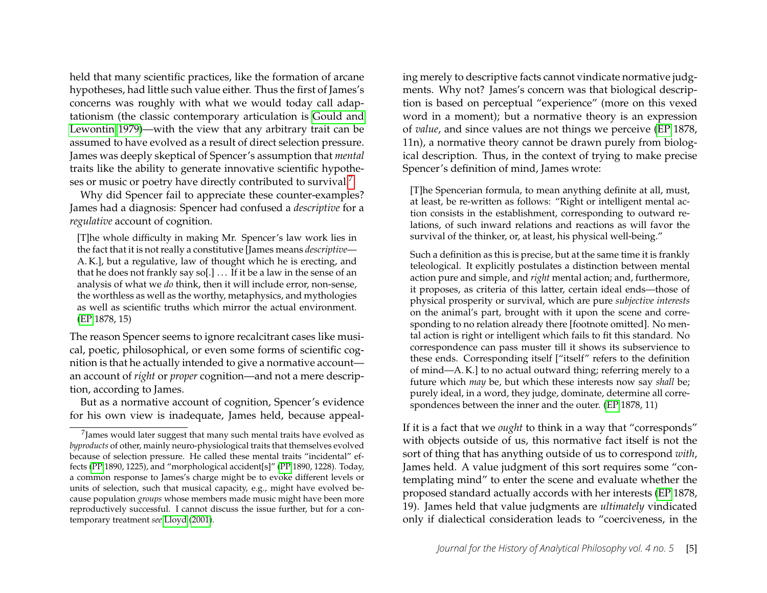held that many scientific practices, like the formation of arcane hypotheses, had little such value either. Thus the first of James's concerns was roughly with what we would today call adaptationism (the classic contemporary articulation is [Gould and](#page-19-8) [Lewontin 1979\)](#page-19-8)—with the view that any arbitrary trait can be assumed to have evolved as a result of direct selection pressure. James was deeply skeptical of Spencer's assumption that *mental* traits like the ability to generate innovative scientific hypothe-ses or music or poetry have directly contributed to survival.<sup>[7](#page-5-0)</sup>

Why did Spencer fail to appreciate these counter-examples? James had a diagnosis: Spencer had confused a *descriptive* for a *regulative* account of cognition.

[T]he whole difficulty in making Mr. Spencer's law work lies in the fact that it is not really a constitutive [James means *descriptive*— A. K.], but a regulative, law of thought which he is erecting, and that he does not frankly say so[.]  $\ldots$  If it be a law in the sense of an analysis of what we *do* think, then it will include error, non-sense, the worthless as well as the worthy, metaphysics, and mythologies as well as scientific truths which mirror the actual environment. [\(EP](#page-20-4) 1878, 15)

The reason Spencer seems to ignore recalcitrant cases like musical, poetic, philosophical, or even some forms of scientific cognition is that he actually intended to give a normative account an account of *right* or *proper* cognition—and not a mere description, according to James.

But as a normative account of cognition, Spencer's evidence for his own view is inadequate, James held, because appealing merely to descriptive facts cannot vindicate normative judgments. Why not? James's concern was that biological description is based on perceptual "experience" (more on this vexed word in a moment); but a normative theory is an expression of *value*, and since values are not things we perceive [\(EP](#page-20-4) 1878, 11n), a normative theory cannot be drawn purely from biological description. Thus, in the context of trying to make precise Spencer's definition of mind, James wrote:

[T]he Spencerian formula, to mean anything definite at all, must, at least, be re-written as follows: "Right or intelligent mental action consists in the establishment, corresponding to outward relations, of such inward relations and reactions as will favor the survival of the thinker, or, at least, his physical well-being."

Such a definition as this is precise, but at the same time it is frankly teleological. It explicitly postulates a distinction between mental action pure and simple, and *right* mental action; and, furthermore, it proposes, as criteria of this latter, certain ideal ends—those of physical prosperity or survival, which are pure *subjective interests* on the animal's part, brought with it upon the scene and corresponding to no relation already there [footnote omitted]. No mental action is right or intelligent which fails to fit this standard. No correspondence can pass muster till it shows its subservience to these ends. Corresponding itself ["itself" refers to the definition of mind—A. K.] to no actual outward thing; referring merely to a future which *may* be, but which these interests now say *shall* be; purely ideal, in a word, they judge, dominate, determine all correspondences between the inner and the outer. [\(EP](#page-20-4) 1878, 11)

If it is a fact that we *ought* to think in a way that "corresponds" with objects outside of us, this normative fact itself is not the sort of thing that has anything outside of us to correspond *with*, James held. A value judgment of this sort requires some "contemplating mind" to enter the scene and evaluate whether the proposed standard actually accords with her interests [\(EP](#page-20-4) 1878, 19). James held that value judgments are *ultimately* vindicated only if dialectical consideration leads to "coerciveness, in the

<span id="page-5-0"></span> $^7$ James would later suggest that many such mental traits have evolved as *byproducts* of other, mainly neuro-physiological traits that themselves evolved because of selection pressure. He called these mental traits "incidental" effects [\(PP](#page-19-5) 1890, 1225), and "morphological accident[s]" [\(PP](#page-19-5) 1890, 1228). Today, a common response to James's charge might be to evoke different levels or units of selection, such that musical capacity, e.g., might have evolved because population *groups* whose members made music might have been more reproductively successful. I cannot discuss the issue further, but for a contemporary treatment *see* [Lloyd](#page-20-7) [\(2001\)](#page-20-7).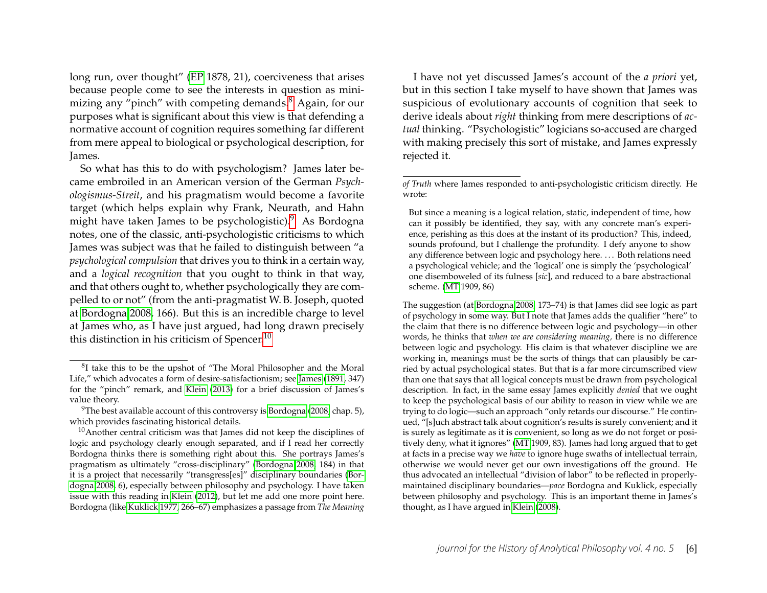long run, over thought" [\(EP](#page-20-4) 1878, 21), coerciveness that arises because people come to see the interests in question as mini-mizing any "pinch" with competing demands.<sup>[8](#page-6-0)</sup> Again, for our purposes what is significant about this view is that defending a normative account of cognition requires something far different from mere appeal to biological or psychological description, for James.

So what has this to do with psychologism? James later became embroiled in an American version of the German *Psychologismus-Streit*, and his pragmatism would become a favorite target (which helps explain why Frank, Neurath, and Hahn might have taken James to be psychologistic).<sup>[9](#page-6-1)</sup> As Bordogna notes, one of the classic, anti-psychologistic criticisms to which James was subject was that he failed to distinguish between "a *psychological compulsion* that drives you to think in a certain way, and a *logical recognition* that you ought to think in that way, and that others ought to, whether psychologically they are compelled to or not" (from the anti-pragmatist W. B. Joseph, quoted at [Bordogna 2008,](#page-18-0) 166). But this is an incredible charge to level at James who, as I have just argued, had long drawn precisely this distinction in his criticism of Spencer.<sup>[10](#page-6-2)</sup>

I have not yet discussed James's account of the *a priori* yet, but in this section I take myself to have shown that James was suspicious of evolutionary accounts of cognition that seek to derive ideals about *right* thinking from mere descriptions of *actual* thinking. "Psychologistic" logicians so-accused are charged with making precisely this sort of mistake, and James expressly rejected it.

The suggestion (at [Bordogna 2008,](#page-18-0) 173–74) is that James did see logic as part of psychology in some way. But I note that James adds the qualifier "here" to the claim that there is no difference between logic and psychology—in other words, he thinks that *when we are considering meaning,* there is no difference between logic and psychology. His claim is that whatever discipline we are working in, meanings must be the sorts of things that can plausibly be carried by actual psychological states. But that is a far more circumscribed view than one that says that all logical concepts must be drawn from psychological description. In fact, in the same essay James explicitly *denied* that we ought to keep the psychological basis of our ability to reason in view while we are trying to do logic—such an approach "only retards our discourse." He continued, "[s]uch abstract talk about cognition's results is surely convenient; and it is surely as legitimate as it is convenient, so long as we do not forget or positively deny, what it ignores" [\(MT](#page-19-4) 1909, 83). James had long argued that to get at facts in a precise way we *have* to ignore huge swaths of intellectual terrain, otherwise we would never get our own investigations off the ground. He thus advocated an intellectual "division of labor" to be reflected in properlymaintained disciplinary boundaries—*pace* Bordogna and Kuklick, especially between philosophy and psychology. This is an important theme in James's thought, as I have argued in [Klein](#page-20-3) [\(2008\)](#page-20-3).

<span id="page-6-0"></span><sup>&</sup>lt;sup>8</sup>I take this to be the upshot of "The Moral Philosopher and the Moral Life," which advocates a form of desire-satisfactionism; see [James](#page-19-9) [\(1891,](#page-19-9) 347) for the "pinch" remark, and [Klein](#page-20-8) [\(2013\)](#page-20-8) for a brief discussion of James's value theory.

<span id="page-6-1"></span><sup>&</sup>lt;sup>9</sup>The best available account of this controversy is [Bordogna](#page-18-0) [\(2008,](#page-18-0) chap. 5), which provides fascinating historical details.

<span id="page-6-2"></span> $10$ Another central criticism was that James did not keep the disciplines of logic and psychology clearly enough separated, and if I read her correctly Bordogna thinks there is something right about this. She portrays James's pragmatism as ultimately "cross-disciplinary" [\(Bordogna 2008,](#page-18-0) 184) in that it is a project that necessarily "transgress[es]" disciplinary boundaries [\(Bor](#page-18-0)[dogna 2008,](#page-18-0) 6), especially between philosophy and psychology. I have taken issue with this reading in [Klein](#page-20-9) [\(2012\)](#page-20-9), but let me add one more point here. Bordogna (like [Kuklick 1977,](#page-20-2) 266–67) emphasizes a passage from *The Meaning*

*of Truth* where James responded to anti-psychologistic criticism directly. He wrote:

But since a meaning is a logical relation, static, independent of time, how can it possibly be identified, they say, with any concrete man's experience, perishing as this does at the instant of its production? This, indeed, sounds profound, but I challenge the profundity. I defy anyone to show any difference between logic and psychology here. ... Both relations need a psychological vehicle; and the 'logical' one is simply the 'psychological' one disemboweled of its fulness [*sic*], and reduced to a bare abstractional scheme. [\(MT](#page-19-4) 1909, 86)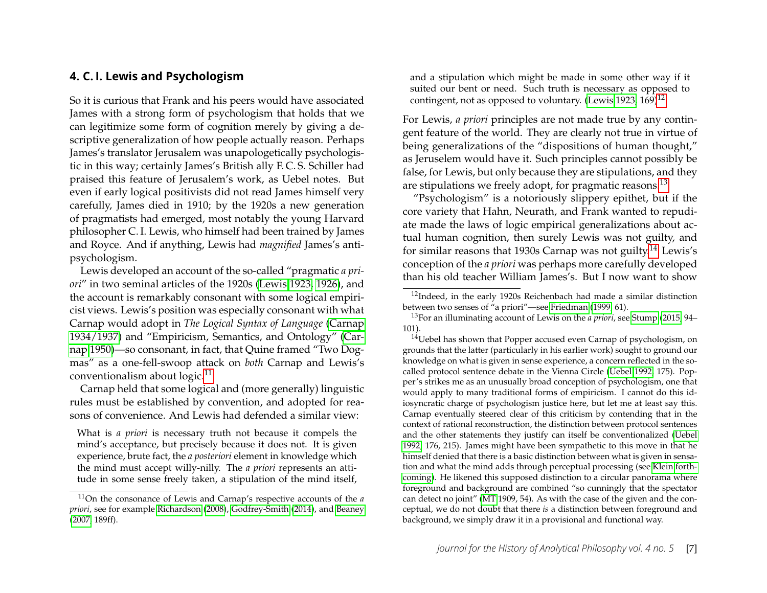#### **4. C. I. Lewis and Psychologism**

So it is curious that Frank and his peers would have associated James with a strong form of psychologism that holds that we can legitimize some form of cognition merely by giving a descriptive generalization of how people actually reason. Perhaps James's translator Jerusalem was unapologetically psychologistic in this way; certainly James's British ally F. C. S. Schiller had praised this feature of Jerusalem's work, as Uebel notes. But even if early logical positivists did not read James himself very carefully, James died in 1910; by the 1920s a new generation of pragmatists had emerged, most notably the young Harvard philosopher C. I. Lewis, who himself had been trained by James and Royce. And if anything, Lewis had *magnified* James's antipsychologism.

Lewis developed an account of the so-called "pragmatic *a priori*" in two seminal articles of the 1920s [\(Lewis 1923,](#page-20-10) [1926\)](#page-20-11), and the account is remarkably consonant with some logical empiricist views. Lewis's position was especially consonant with what Carnap would adopt in *The Logical Syntax of Language* [\(Carnap](#page-18-1) [1934/1937\)](#page-18-1) and "Empiricism, Semantics, and Ontology" [\(Car](#page-18-2)[nap 1950\)](#page-18-2)—so consonant, in fact, that Quine framed "Two Dogmas" as a one-fell-swoop attack on *both* Carnap and Lewis's conventionalism about logic.<sup>[11](#page-7-0)</sup>

Carnap held that some logical and (more generally) linguistic rules must be established by convention, and adopted for reasons of convenience. And Lewis had defended a similar view:

What is *a priori* is necessary truth not because it compels the mind's acceptance, but precisely because it does not. It is given experience, brute fact, the *a posteriori* element in knowledge which the mind must accept willy-nilly. The *a priori* represents an attitude in some sense freely taken, a stipulation of the mind itself, and a stipulation which might be made in some other way if it suited our bent or need. Such truth is necessary as opposed to contingent, not as opposed to voluntary. [\(Lewis 1923,](#page-20-10) 169)<sup>[12](#page-7-1)</sup>

For Lewis, *a priori* principles are not made true by any contingent feature of the world. They are clearly not true in virtue of being generalizations of the "dispositions of human thought," as Jeruselem would have it. Such principles cannot possibly be false, for Lewis, but only because they are stipulations, and they are stipulations we freely adopt, for pragmatic reasons.[13](#page-7-2)

"Psychologism" is a notoriously slippery epithet, but if the core variety that Hahn, Neurath, and Frank wanted to repudiate made the laws of logic empirical generalizations about actual human cognition, then surely Lewis was not guilty, and for similar reasons that 1930s Carnap was not guilty.<sup>[14](#page-7-3)</sup> Lewis's conception of the *a priori* was perhaps more carefully developed than his old teacher William James's. But I now want to show

<span id="page-7-0"></span><sup>11</sup>On the consonance of Lewis and Carnap's respective accounts of the *a priori*, see for example [Richardson](#page-21-3) [\(2008\)](#page-21-3), [Godfrey-Smith](#page-19-10) [\(2014\)](#page-19-10), and [Beaney](#page-18-3) [\(2007,](#page-18-3) 189ff).

<span id="page-7-1"></span><sup>&</sup>lt;sup>12</sup>Indeed, in the early 1920s Reichenbach had made a similar distinction between two senses of "a priori"—see [Friedman](#page-19-0) [\(1999,](#page-19-0) 61).

<span id="page-7-2"></span><sup>13</sup>For an illuminating account of Lewis on the *a priori*, see [Stump](#page-21-9) [\(2015,](#page-21-9) 94– 101).

<span id="page-7-3"></span><sup>&</sup>lt;sup>14</sup>Uebel has shown that Popper accused even Carnap of psychologism, on grounds that the latter (particularly in his earlier work) sought to ground our knowledge on what is given in sense experience, a concern reflected in the socalled protocol sentence debate in the Vienna Circle [\(Uebel 1992,](#page-21-7) 175). Popper's strikes me as an unusually broad conception of psychologism, one that would apply to many traditional forms of empiricism. I cannot do this idiosyncratic charge of psychologism justice here, but let me at least say this. Carnap eventually steered clear of this criticism by contending that in the context of rational reconstruction, the distinction between protocol sentences and the other statements they justify can itself be conventionalized [\(Uebel](#page-21-7) [1992,](#page-21-7) 176, 215). James might have been sympathetic to this move in that he himself denied that there is a basic distinction between what is given in sensation and what the mind adds through perceptual processing (see [Klein forth](#page-20-1)[coming\)](#page-20-1). He likened this supposed distinction to a circular panorama where foreground and background are combined "so cunningly that the spectator can detect no joint" [\(MT](#page-19-4) 1909, 54). As with the case of the given and the conceptual, we do not doubt that there *is* a distinction between foreground and background, we simply draw it in a provisional and functional way.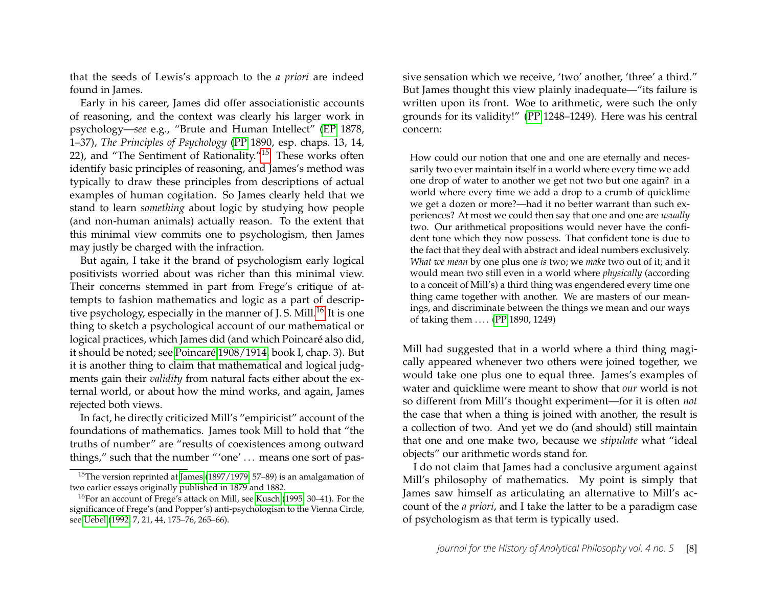that the seeds of Lewis's approach to the *a priori* are indeed found in James.

Early in his career, James did offer associationistic accounts of reasoning, and the context was clearly his larger work in psychology—*see* e.g., "Brute and Human Intellect" [\(EP](#page-20-4) 1878, 1–37), *The Principles of Psychology* [\(PP](#page-19-5) 1890, esp. chaps. 13, 14, 22), and "The Sentiment of Rationality."[15](#page-8-0) These works often identify basic principles of reasoning, and James's method was typically to draw these principles from descriptions of actual examples of human cogitation. So James clearly held that we stand to learn *something* about logic by studying how people (and non-human animals) actually reason. To the extent that this minimal view commits one to psychologism, then James may justly be charged with the infraction.

But again, I take it the brand of psychologism early logical positivists worried about was richer than this minimal view. Their concerns stemmed in part from Frege's critique of attempts to fashion mathematics and logic as a part of descriptive psychology, especially in the manner of  $I.S.$  Mill.<sup>[16](#page-8-1)</sup> It is one thing to sketch a psychological account of our mathematical or logical practices, which James did (and which Poincaré also did, it should be noted; see [Poincaré 1908/1914,](#page-21-10) book I, chap. 3). But it is another thing to claim that mathematical and logical judgments gain their *validity* from natural facts either about the external world, or about how the mind works, and again, James rejected both views.

In fact, he directly criticized Mill's "empiricist" account of the foundations of mathematics. James took Mill to hold that "the truths of number" are "results of coexistences among outward things," such that the number "'one' ... means one sort of passive sensation which we receive, 'two' another, 'three' a third." But James thought this view plainly inadequate—"its failure is written upon its front. Woe to arithmetic, were such the only grounds for its validity!" [\(PP](#page-19-5) 1248–1249). Here was his central concern:

How could our notion that one and one are eternally and necessarily two ever maintain itself in a world where every time we add one drop of water to another we get not two but one again? in a world where every time we add a drop to a crumb of quicklime we get a dozen or more?—had it no better warrant than such experiences? At most we could then say that one and one are *usually* two. Our arithmetical propositions would never have the confident tone which they now possess. That confident tone is due to the fact that they deal with abstract and ideal numbers exclusively. *What we mean* by one plus one *is* two; we *make* two out of it; and it would mean two still even in a world where *physically* (according to a conceit of Mill's) a third thing was engendered every time one thing came together with another. We are masters of our meanings, and discriminate between the things we mean and our ways of taking them .... [\(PP](#page-19-5) 1890, 1249)

Mill had suggested that in a world where a third thing magically appeared whenever two others were joined together, we would take one plus one to equal three. James's examples of water and quicklime were meant to show that *our* world is not so different from Mill's thought experiment—for it is often *not* the case that when a thing is joined with another, the result is a collection of two. And yet we do (and should) still maintain that one and one make two, because we *stipulate* what "ideal objects" our arithmetic words stand for.

I do not claim that James had a conclusive argument against Mill's philosophy of mathematics. My point is simply that James saw himself as articulating an alternative to Mill's account of the *a priori*, and I take the latter to be a paradigm case of psychologism as that term is typically used.

<span id="page-8-0"></span><sup>&</sup>lt;sup>15</sup>The version reprinted at [James](#page-19-11) [\(1897/1979,](#page-19-11) 57–89) is an amalgamation of two earlier essays originally published in 1879 and 1882.

<span id="page-8-1"></span><sup>16</sup>For an account of Frege's attack on Mill, see [Kusch](#page-20-5) [\(1995,](#page-20-5) 30–41). For the significance of Frege's (and Popper's) anti-psychologism to the Vienna Circle, see [Uebel](#page-21-7) [\(1992,](#page-21-7) 7, 21, 44, 175–76, 265–66).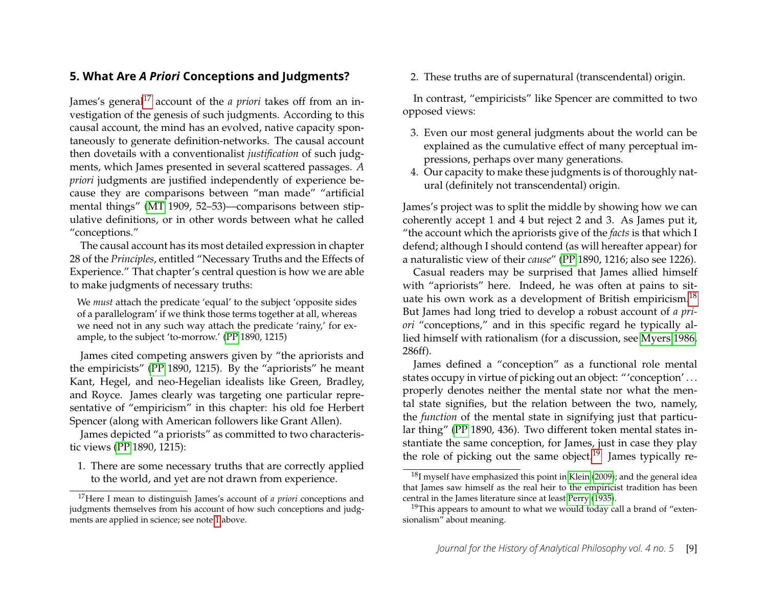#### **5. What Are** *A Priori* **Conceptions and Judgments?**

James's general<sup>[17](#page-9-0)</sup> account of the *a priori* takes off from an investigation of the genesis of such judgments. According to this causal account, the mind has an evolved, native capacity spontaneously to generate definition-networks. The causal account then dovetails with a conventionalist *justification* of such judgments, which James presented in several scattered passages. *A priori* judgments are justified independently of experience because they are comparisons between "man made" "artificial mental things" [\(MT](#page-19-4) 1909, 52–53)—comparisons between stipulative definitions, or in other words between what he called "conceptions."

The causal account has its most detailed expression in chapter 28 of the *Principles*, entitled "Necessary Truths and the Effects of Experience." That chapter's central question is how we are able to make judgments of necessary truths:

We *must* attach the predicate 'equal' to the subject 'opposite sides of a parallelogram' if we think those terms together at all, whereas we need not in any such way attach the predicate 'rainy,' for example, to the subject 'to-morrow.' [\(PP](#page-19-5) 1890, 1215)

James cited competing answers given by "the apriorists and the empiricists" [\(PP](#page-19-5) 1890, 1215). By the "apriorists" he meant Kant, Hegel, and neo-Hegelian idealists like Green, Bradley, and Royce. James clearly was targeting one particular representative of "empiricism" in this chapter: his old foe Herbert Spencer (along with American followers like Grant Allen).

James depicted "a priorists" as committed to two characteristic views [\(PP](#page-19-5) 1890, 1215):

1. There are some necessary truths that are correctly applied to the world, and yet are not drawn from experience.

2. These truths are of supernatural (transcendental) origin.

In contrast, "empiricists" like Spencer are committed to two opposed views:

- 3. Even our most general judgments about the world can be explained as the cumulative effect of many perceptual impressions, perhaps over many generations.
- 4. Our capacity to make these judgments is of thoroughly natural (definitely not transcendental) origin.

James's project was to split the middle by showing how we can coherently accept 1 and 4 but reject 2 and 3. As James put it, "the account which the apriorists give of the *facts* is that which I defend; although I should contend (as will hereafter appear) for a naturalistic view of their *cause*" [\(PP](#page-19-5) 1890, 1216; also see 1226).

Casual readers may be surprised that James allied himself with "apriorists" here. Indeed, he was often at pains to situate his own work as a development of British empiricism.[18](#page-9-1) But James had long tried to develop a robust account of *a priori* "conceptions," and in this specific regard he typically allied himself with rationalism (for a discussion, see [Myers 1986,](#page-20-12) 286ff).

James defined a "conception" as a functional role mental states occupy in virtue of picking out an object: "'conception' . . . properly denotes neither the mental state nor what the mental state signifies, but the relation between the two, namely, the *function* of the mental state in signifying just that particular thing" [\(PP](#page-19-5) 1890, 436). Two different token mental states instantiate the same conception, for James, just in case they play the role of picking out the same object.<sup>[19](#page-9-2)</sup> James typically re-

<span id="page-9-0"></span><sup>17</sup>Here I mean to distinguish James's account of *a priori* conceptions and judgments themselves from his account of how such conceptions and judgments are applied in science; see note [1](#page-1-0) above.

<span id="page-9-1"></span><sup>&</sup>lt;sup>18</sup>I myself have emphasized this point in [Klein](#page-20-13) [\(2009\)](#page-20-13); and the general idea that James saw himself as the real heir to the empiricist tradition has been central in the James literature since at least [Perry](#page-21-11) [\(1935\)](#page-21-11).

<span id="page-9-2"></span> $19$ This appears to amount to what we would today call a brand of "extensionalism" about meaning.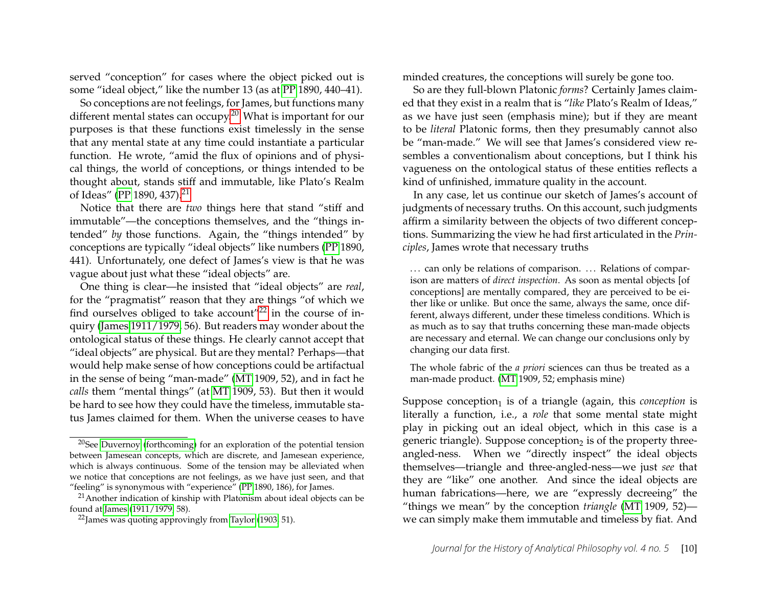served "conception" for cases where the object picked out is some "ideal object," like the number 13 (as at [PP](#page-19-5) 1890, 440–41).

So conceptions are not feelings, for James, but functions many different mental states can occupy.<sup>[20](#page-10-0)</sup> What is important for our purposes is that these functions exist timelessly in the sense that any mental state at any time could instantiate a particular function. He wrote, "amid the flux of opinions and of physical things, the world of conceptions, or things intended to be thought about, stands stiff and immutable, like Plato's Realm of Ideas" [\(PP](#page-19-5) 1890, 437).<sup>[21](#page-10-1)</sup>

Notice that there are *two* things here that stand "stiff and immutable"—the conceptions themselves, and the "things intended" *by* those functions. Again, the "things intended" by conceptions are typically "ideal objects" like numbers [\(PP](#page-19-5) 1890, 441). Unfortunately, one defect of James's view is that he was vague about just what these "ideal objects" are.

One thing is clear—he insisted that "ideal objects" are *real*, for the "pragmatist" reason that they are things "of which we find ourselves obliged to take account<sup> $22$ </sup> in the course of inquiry [\(James 1911/1979,](#page-20-14) 56). But readers may wonder about the ontological status of these things. He clearly cannot accept that "ideal objects" are physical. But are they mental? Perhaps—that would help make sense of how conceptions could be artifactual in the sense of being "man-made" [\(MT](#page-19-4) 1909, 52), and in fact he *calls* them "mental things" (at [MT](#page-19-4) 1909, 53). But then it would be hard to see how they could have the timeless, immutable status James claimed for them. When the universe ceases to have minded creatures, the conceptions will surely be gone too.

So are they full-blown Platonic *forms*? Certainly James claimed that they exist in a realm that is "*like* Plato's Realm of Ideas," as we have just seen (emphasis mine); but if they are meant to be *literal* Platonic forms, then they presumably cannot also be "man-made." We will see that James's considered view resembles a conventionalism about conceptions, but I think his vagueness on the ontological status of these entities reflects a kind of unfinished, immature quality in the account.

In any case, let us continue our sketch of James's account of judgments of necessary truths. On this account, such judgments affirm a similarity between the objects of two different conceptions. Summarizing the view he had first articulated in the *Principles*, James wrote that necessary truths

... can only be relations of comparison. ... Relations of comparison are matters of *direct inspection*. As soon as mental objects [of conceptions] are mentally compared, they are perceived to be either like or unlike. But once the same, always the same, once different, always different, under these timeless conditions. Which is as much as to say that truths concerning these man-made objects are necessary and eternal. We can change our conclusions only by changing our data first.

The whole fabric of the *a priori* sciences can thus be treated as a man-made product. [\(MT](#page-19-4) 1909, 52; emphasis mine)

Suppose conception $_1$  is of a triangle (again, this *conception* is literally a function, i.e., a *role* that some mental state might play in picking out an ideal object, which in this case is a generic triangle). Suppose conception $_2$  is of the property threeangled-ness. When we "directly inspect" the ideal objects themselves—triangle and three-angled-ness—we just *see* that they are "like" one another. And since the ideal objects are human fabrications—here, we are "expressly decreeing" the "things we mean" by the conception *triangle* [\(MT](#page-19-4) 1909, 52) we can simply make them immutable and timeless by fiat. And

<span id="page-10-0"></span><sup>20</sup>See [Duvernoy](#page-19-12) [\(forthcoming\)](#page-19-12) for an exploration of the potential tension between Jamesean concepts, which are discrete, and Jamesean experience, which is always continuous. Some of the tension may be alleviated when we notice that conceptions are not feelings, as we have just seen, and that "feeling" is synonymous with "experience" [\(PP](#page-19-5) 1890, 186), for James.

<span id="page-10-1"></span><sup>&</sup>lt;sup>21</sup> Another indication of kinship with Platonism about ideal objects can be found at [James](#page-20-14) [\(1911/1979,](#page-20-14) 58).

<span id="page-10-2"></span> $^{22}$ James was quoting approvingly from [Taylor](#page-21-12) [\(1903,](#page-21-12) 51).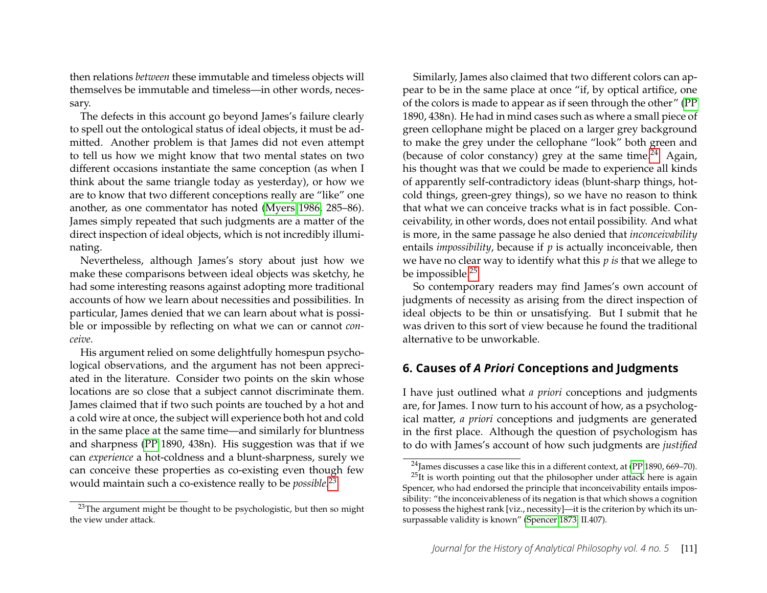then relations *between* these immutable and timeless objects will themselves be immutable and timeless—in other words, necessary.

The defects in this account go beyond James's failure clearly to spell out the ontological status of ideal objects, it must be admitted. Another problem is that James did not even attempt to tell us how we might know that two mental states on two different occasions instantiate the same conception (as when I think about the same triangle today as yesterday), or how we are to know that two different conceptions really are "like" one another, as one commentator has noted [\(Myers 1986,](#page-20-12) 285–86). James simply repeated that such judgments are a matter of the direct inspection of ideal objects, which is not incredibly illuminating.

Nevertheless, although James's story about just how we make these comparisons between ideal objects was sketchy, he had some interesting reasons against adopting more traditional accounts of how we learn about necessities and possibilities. In particular, James denied that we can learn about what is possible or impossible by reflecting on what we can or cannot *conceive*.

His argument relied on some delightfully homespun psychological observations, and the argument has not been appreciated in the literature. Consider two points on the skin whose locations are so close that a subject cannot discriminate them. James claimed that if two such points are touched by a hot and a cold wire at once, the subject will experience both hot and cold in the same place at the same time—and similarly for bluntness and sharpness [\(PP](#page-19-5) 1890, 438n). His suggestion was that if we can *experience* a hot-coldness and a blunt-sharpness, surely we can conceive these properties as co-existing even though few would maintain such a co-existence really to be *possible*. [23](#page-11-0)

Similarly, James also claimed that two different colors can appear to be in the same place at once "if, by optical artifice, one of the colors is made to appear as if seen through the other" [\(PP](#page-19-5) 1890, 438n). He had in mind cases such as where a small piece of green cellophane might be placed on a larger grey background to make the grey under the cellophane "look" both green and (because of color constancy) grey at the same time.<sup>[24](#page-11-1)</sup> Again, his thought was that we could be made to experience all kinds of apparently self-contradictory ideas (blunt-sharp things, hotcold things, green-grey things), so we have no reason to think that what we can conceive tracks what is in fact possible. Conceivability, in other words, does not entail possibility. And what is more, in the same passage he also denied that *inconceivability* entails *impossibility*, because if *p* is actually inconceivable, then we have no clear way to identify what this *p is* that we allege to be impossible.[25](#page-11-2)

So contemporary readers may find James's own account of judgments of necessity as arising from the direct inspection of ideal objects to be thin or unsatisfying. But I submit that he was driven to this sort of view because he found the traditional alternative to be unworkable.

#### **6. Causes of** *A Priori* **Conceptions and Judgments**

I have just outlined what *a priori* conceptions and judgments are, for James. I now turn to his account of how, as a psychological matter, *a priori* conceptions and judgments are generated in the first place. Although the question of psychologism has to do with James's account of how such judgments are *justified*

<span id="page-11-0"></span><sup>&</sup>lt;sup>23</sup>The argument might be thought to be psychologistic, but then so might the view under attack.

<span id="page-11-2"></span><span id="page-11-1"></span><sup>&</sup>lt;sup>24</sup> James discusses a case like this in a different context, at [\(PP](#page-19-5) 1890, 669–70).

 $25$ It is worth pointing out that the philosopher under attack here is again Spencer, who had endorsed the principle that inconceivability entails impossibility: "the inconceivableness of its negation is that which shows a cognition to possess the highest rank [viz., necessity]—it is the criterion by which its unsurpassable validity is known" [\(Spencer 1873,](#page-21-8) II.407).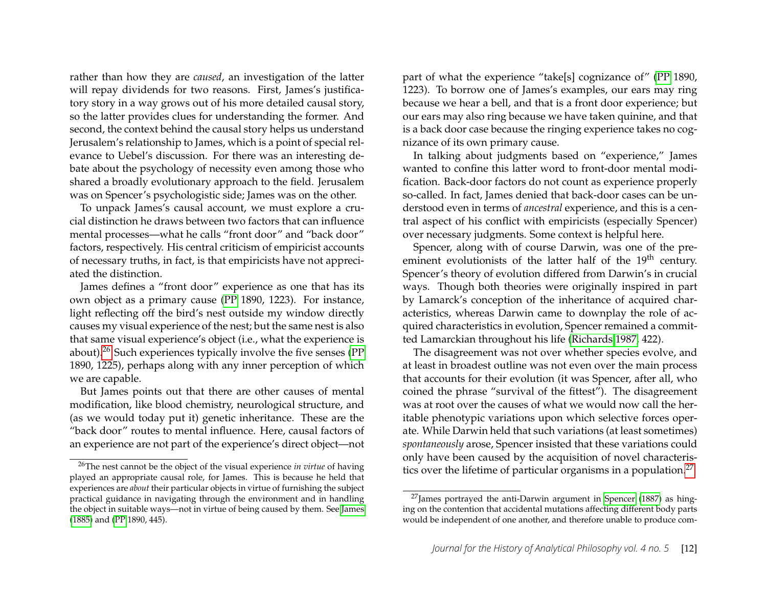rather than how they are *caused*, an investigation of the latter will repay dividends for two reasons. First, James's justificatory story in a way grows out of his more detailed causal story, so the latter provides clues for understanding the former. And second, the context behind the causal story helps us understand Jerusalem's relationship to James, which is a point of special relevance to Uebel's discussion. For there was an interesting debate about the psychology of necessity even among those who shared a broadly evolutionary approach to the field. Jerusalem was on Spencer's psychologistic side; James was on the other.

To unpack James's causal account, we must explore a crucial distinction he draws between two factors that can influence mental processes—what he calls "front door" and "back door" factors, respectively. His central criticism of empiricist accounts of necessary truths, in fact, is that empiricists have not appreciated the distinction.

James defines a "front door" experience as one that has its own object as a primary cause [\(PP](#page-19-5) 1890, 1223). For instance, light reflecting off the bird's nest outside my window directly causes my visual experience of the nest; but the same nest is also that same visual experience's object (i.e., what the experience is about). $26$  Such experiences typically involve the five senses [\(PP](#page-19-5)) 1890, 1225), perhaps along with any inner perception of which we are capable.

But James points out that there are other causes of mental modification, like blood chemistry, neurological structure, and (as we would today put it) genetic inheritance. These are the "back door" routes to mental influence. Here, causal factors of an experience are not part of the experience's direct object—not

part of what the experience "take[s] cognizance of" [\(PP](#page-19-5) 1890, 1223). To borrow one of James's examples, our ears may ring because we hear a bell, and that is a front door experience; but our ears may also ring because we have taken quinine, and that is a back door case because the ringing experience takes no cognizance of its own primary cause.

In talking about judgments based on "experience," James wanted to confine this latter word to front-door mental modification. Back-door factors do not count as experience properly so-called. In fact, James denied that back-door cases can be understood even in terms of *ancestral* experience, and this is a central aspect of his conflict with empiricists (especially Spencer) over necessary judgments. Some context is helpful here.

Spencer, along with of course Darwin, was one of the preeminent evolutionists of the latter half of the 19<sup>th</sup> century. Spencer's theory of evolution differed from Darwin's in crucial ways. Though both theories were originally inspired in part by Lamarck's conception of the inheritance of acquired characteristics, whereas Darwin came to downplay the role of acquired characteristics in evolution, Spencer remained a committed Lamarckian throughout his life [\(Richards 1987,](#page-21-13) 422).

The disagreement was not over whether species evolve, and at least in broadest outline was not even over the main process that accounts for their evolution (it was Spencer, after all, who coined the phrase "survival of the fittest"). The disagreement was at root over the causes of what we would now call the heritable phenotypic variations upon which selective forces operate. While Darwin held that such variations (at least sometimes) *spontaneously* arose, Spencer insisted that these variations could only have been caused by the acquisition of novel characteris-tics over the lifetime of particular organisms in a population.<sup>[27](#page-12-1)</sup>

<span id="page-12-0"></span><sup>26</sup>The nest cannot be the object of the visual experience *in virtue* of having played an appropriate causal role, for James. This is because he held that experiences are *about* their particular objects in virtue of furnishing the subject practical guidance in navigating through the environment and in handling the object in suitable ways—not in virtue of being caused by them. See [James](#page-19-13) [\(1885\)](#page-19-13) and [\(PP](#page-19-5) 1890, 445).

<span id="page-12-1"></span> $27$ James portrayed the anti-Darwin argument in [Spencer](#page-21-14) [\(1887\)](#page-21-14) as hinging on the contention that accidental mutations affecting different body parts would be independent of one another, and therefore unable to produce com-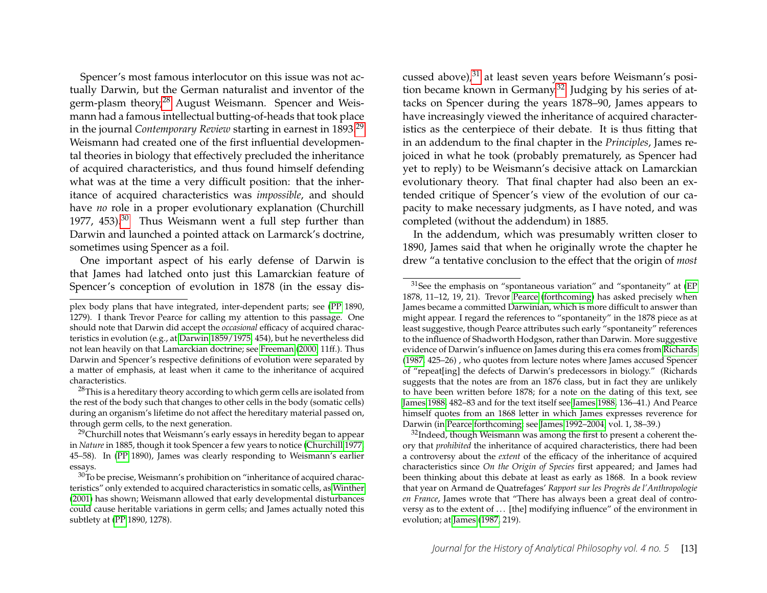Spencer's most famous interlocutor on this issue was not actually Darwin, but the German naturalist and inventor of the germ-plasm theory,<sup>[28](#page-13-0)</sup> August Weismann. Spencer and Weismann had a famous intellectual butting-of-heads that took place in the journal *Contemporary Review* starting in earnest in 1893.[29](#page-13-1) Weismann had created one of the first influential developmental theories in biology that effectively precluded the inheritance of acquired characteristics, and thus found himself defending what was at the time a very difficult position: that the inheritance of acquired characteristics was *impossible*, and should have *no* role in a proper evolutionary explanation (Churchill 1977, 453).<sup>[30](#page-13-2)</sup> Thus Weismann went a full step further than Darwin and launched a pointed attack on Larmarck's doctrine, sometimes using Spencer as a foil.

One important aspect of his early defense of Darwin is that James had latched onto just this Lamarckian feature of Spencer's conception of evolution in 1878 (in the essay dis-

cussed above),<sup>[31](#page-13-3)</sup> at least seven years before Weismann's position became known in Germany.[32](#page-13-4) Judging by his series of attacks on Spencer during the years 1878–90, James appears to have increasingly viewed the inheritance of acquired characteristics as the centerpiece of their debate. It is thus fitting that in an addendum to the final chapter in the *Principles*, James rejoiced in what he took (probably prematurely, as Spencer had yet to reply) to be Weismann's decisive attack on Lamarckian evolutionary theory. That final chapter had also been an extended critique of Spencer's view of the evolution of our capacity to make necessary judgments, as I have noted, and was completed (without the addendum) in 1885.

In the addendum, which was presumably written closer to 1890, James said that when he originally wrote the chapter he drew "a tentative conclusion to the effect that the origin of *most*

plex body plans that have integrated, inter-dependent parts; see [\(PP](#page-19-5) 1890, 1279). I thank Trevor Pearce for calling my attention to this passage. One should note that Darwin did accept the *occasional* efficacy of acquired characteristics in evolution (e.g., at [Darwin 1859/1975,](#page-19-14) 454), but he nevertheless did not lean heavily on that Lamarckian doctrine; see [Freeman](#page-19-15) [\(2000,](#page-19-15) 11ff.). Thus Darwin and Spencer's respective definitions of evolution were separated by a matter of emphasis, at least when it came to the inheritance of acquired characteristics.

<span id="page-13-0"></span><sup>&</sup>lt;sup>28</sup>This is a hereditary theory according to which germ cells are isolated from the rest of the body such that changes to other cells in the body (somatic cells) during an organism's lifetime do not affect the hereditary material passed on, through germ cells, to the next generation.

<span id="page-13-1"></span> $29$ Churchill notes that Weismann's early essays in heredity began to appear in *Nature* in 1885, though it took Spencer a few years to notice [\(Churchill 1977,](#page-19-16) 45–58). In [\(PP](#page-19-5) 1890), James was clearly responding to Weismann's earlier essays.

<span id="page-13-2"></span> $30$ To be precise, Weismann's prohibition on "inheritance of acquired characteristics" only extended to acquired characteristics in somatic cells, as [Winther](#page-21-15) [\(2001\)](#page-21-15) has shown; Weismann allowed that early developmental disturbances could cause heritable variations in germ cells; and James actually noted this subtlety at [\(PP](#page-19-5) 1890, 1278).

<span id="page-13-3"></span> $31$ See the emphasis on "spontaneous variation" and "spontaneity" at [\(EP](#page-20-4) 1878, 11–12, 19, 21). Trevor [Pearce](#page-21-16) [\(forthcoming\)](#page-21-16) has asked precisely when James became a committed Darwinian, which is more difficult to answer than might appear. I regard the references to "spontaneity" in the 1878 piece as at least suggestive, though Pearce attributes such early "spontaneity" references to the influence of Shadworth Hodgson, rather than Darwin. More suggestive evidence of Darwin's influence on James during this era comes from [Richards](#page-21-13) [\(1987,](#page-21-13) 425–26) , who quotes from lecture notes where James accused Spencer of "repeat[ing] the defects of Darwin's predecessors in biology." (Richards suggests that the notes are from an 1876 class, but in fact they are unlikely to have been written before 1878; for a note on the dating of this text, see [James 1988,](#page-20-15) 482–83 and for the text itself see [James 1988,](#page-20-15) 136–41.) And Pearce himself quotes from an 1868 letter in which James expresses reverence for Darwin (in [Pearce forthcoming;](#page-21-16) see [James 1992–2004,](#page-20-16) vol. 1, 38–39.)

<span id="page-13-4"></span><sup>&</sup>lt;sup>32</sup>Indeed, though Weismann was among the first to present a coherent theory that *prohibited* the inheritance of acquired characteristics, there had been a controversy about the *extent* of the efficacy of the inheritance of acquired characteristics since *On the Origin of Species* first appeared; and James had been thinking about this debate at least as early as 1868. In a book review that year on Armand de Quatrefages' *Rapport sur les Progrès de l'Anthropologie en France*, James wrote that "There has always been a great deal of controversy as to the extent of ... [the] modifying influence" of the environment in evolution; at [James](#page-20-17) [\(1987,](#page-20-17) 219).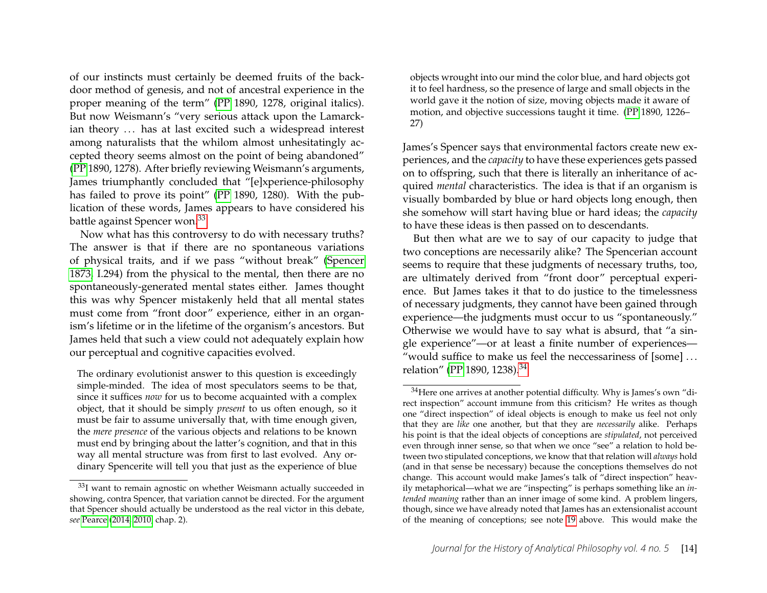of our instincts must certainly be deemed fruits of the backdoor method of genesis, and not of ancestral experience in the proper meaning of the term" [\(PP](#page-19-5) 1890, 1278, original italics). But now Weismann's "very serious attack upon the Lamarckian theory ... has at last excited such a widespread interest among naturalists that the whilom almost unhesitatingly accepted theory seems almost on the point of being abandoned" [\(PP](#page-19-5) 1890, 1278). After briefly reviewing Weismann's arguments, James triumphantly concluded that "[e]xperience-philosophy has failed to prove its point" [\(PP](#page-19-5) 1890, 1280). With the publication of these words, James appears to have considered his battle against Spencer won.[33](#page-14-0)

Now what has this controversy to do with necessary truths? The answer is that if there are no spontaneous variations of physical traits, and if we pass "without break" [\(Spencer](#page-21-8) [1873,](#page-21-8) I.294) from the physical to the mental, then there are no spontaneously-generated mental states either. James thought this was why Spencer mistakenly held that all mental states must come from "front door" experience, either in an organism's lifetime or in the lifetime of the organism's ancestors. But James held that such a view could not adequately explain how our perceptual and cognitive capacities evolved.

The ordinary evolutionist answer to this question is exceedingly simple-minded. The idea of most speculators seems to be that, since it suffices *now* for us to become acquainted with a complex object, that it should be simply *present* to us often enough, so it must be fair to assume universally that, with time enough given, the *mere presence* of the various objects and relations to be known must end by bringing about the latter's cognition, and that in this way all mental structure was from first to last evolved. Any ordinary Spencerite will tell you that just as the experience of blue

objects wrought into our mind the color blue, and hard objects got it to feel hardness, so the presence of large and small objects in the world gave it the notion of size, moving objects made it aware of motion, and objective successions taught it time. [\(PP](#page-19-5) 1890, 1226– 27)

James's Spencer says that environmental factors create new experiences, and the *capacity* to have these experiences gets passed on to offspring, such that there is literally an inheritance of acquired *mental* characteristics. The idea is that if an organism is visually bombarded by blue or hard objects long enough, then she somehow will start having blue or hard ideas; the *capacity* to have these ideas is then passed on to descendants.

But then what are we to say of our capacity to judge that two conceptions are necessarily alike? The Spencerian account seems to require that these judgments of necessary truths, too, are ultimately derived from "front door" perceptual experience. But James takes it that to do justice to the timelessness of necessary judgments, they cannot have been gained through experience—the judgments must occur to us "spontaneously." Otherwise we would have to say what is absurd, that "a single experience"—or at least a finite number of experiences— "would suffice to make us feel the neccessariness of [some] . . . relation" [\(PP](#page-19-5) 1890, 1238).[34](#page-14-1)

<span id="page-14-0"></span><sup>&</sup>lt;sup>33</sup>I want to remain agnostic on whether Weismann actually succeeded in showing, contra Spencer, that variation cannot be directed. For the argument that Spencer should actually be understood as the real victor in this debate, *see* [Pearce](#page-21-17) [\(2014,](#page-21-17) [2010,](#page-21-18) chap. 2).

<span id="page-14-1"></span><sup>34</sup>Here one arrives at another potential difficulty. Why is James's own "direct inspection" account immune from this criticism? He writes as though one "direct inspection" of ideal objects is enough to make us feel not only that they are *like* one another, but that they are *necessarily* alike. Perhaps his point is that the ideal objects of conceptions are *stipulated*, not perceived even through inner sense, so that when we once "see" a relation to hold between two stipulated conceptions, we know that that relation will *always* hold (and in that sense be necessary) because the conceptions themselves do not change. This account would make James's talk of "direct inspection" heavily metaphorical—what we are "inspecting" is perhaps something like an *intended meaning* rather than an inner image of some kind. A problem lingers, though, since we have already noted that James has an extensionalist account of the meaning of conceptions; see note [19](#page-9-2) above. This would make the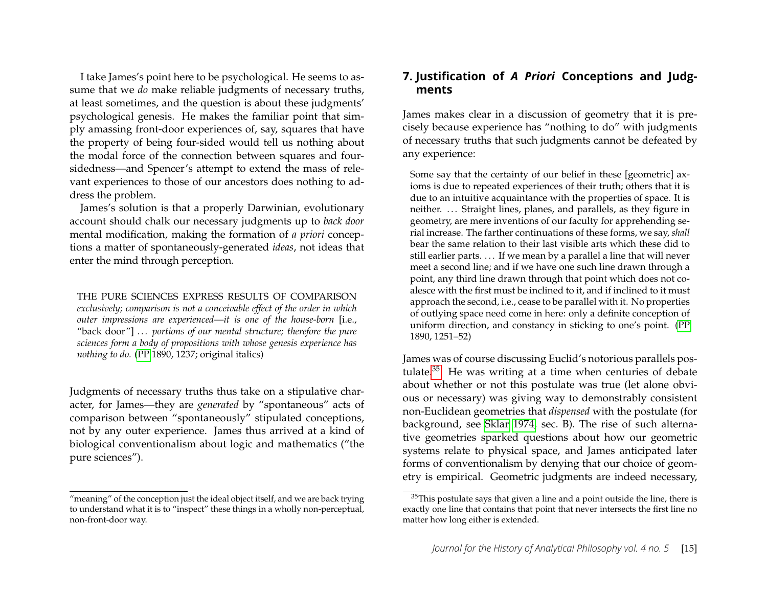I take James's point here to be psychological. He seems to assume that we *do* make reliable judgments of necessary truths, at least sometimes, and the question is about these judgments' psychological genesis. He makes the familiar point that simply amassing front-door experiences of, say, squares that have the property of being four-sided would tell us nothing about the modal force of the connection between squares and foursidedness—and Spencer's attempt to extend the mass of relevant experiences to those of our ancestors does nothing to address the problem.

James's solution is that a properly Darwinian, evolutionary account should chalk our necessary judgments up to *back door* mental modification, making the formation of *a priori* conceptions a matter of spontaneously-generated *ideas*, not ideas that enter the mind through perception.

THE PURE SCIENCES EXPRESS RESULTS OF COMPARISON

*exclusively; comparison is not a conceivable effect of the order in which outer impressions are experienced—it is one of the house-born* [i.e., "back door"] ... portions of our mental structure; therefore the pure *sciences form a body of propositions with whose genesis experience has nothing to do.* [\(PP](#page-19-5) 1890, 1237; original italics)

Judgments of necessary truths thus take on a stipulative character, for James—they are *generated* by "spontaneous" acts of comparison between "spontaneously" stipulated conceptions, not by any outer experience. James thus arrived at a kind of biological conventionalism about logic and mathematics ("the pure sciences").

#### **7. Justification of** *A Priori* **Conceptions and Judgments**

James makes clear in a discussion of geometry that it is precisely because experience has "nothing to do" with judgments of necessary truths that such judgments cannot be defeated by any experience:

Some say that the certainty of our belief in these [geometric] axioms is due to repeated experiences of their truth; others that it is due to an intuitive acquaintance with the properties of space. It is neither. ... Straight lines, planes, and parallels, as they figure in geometry, are mere inventions of our faculty for apprehending serial increase. The farther continuations of these forms, we say, *shall* bear the same relation to their last visible arts which these did to still earlier parts. ... If we mean by a parallel a line that will never meet a second line; and if we have one such line drawn through a point, any third line drawn through that point which does not coalesce with the first must be inclined to it, and if inclined to it must approach the second, i.e., cease to be parallel with it. No properties of outlying space need come in here: only a definite conception of uniform direction, and constancy in sticking to one's point. [\(PP](#page-19-5) 1890, 1251–52)

James was of course discussing Euclid's notorious parallels postulate. $35$  He was writing at a time when centuries of debate about whether or not this postulate was true (let alone obvious or necessary) was giving way to demonstrably consistent non-Euclidean geometries that *dispensed* with the postulate (for background, see [Sklar 1974,](#page-21-19) sec. B). The rise of such alternative geometries sparked questions about how our geometric systems relate to physical space, and James anticipated later forms of conventionalism by denying that our choice of geometry is empirical. Geometric judgments are indeed necessary,

<sup>&</sup>quot;meaning" of the conception just the ideal object itself, and we are back trying to understand what it is to "inspect" these things in a wholly non-perceptual, non-front-door way.

<span id="page-15-0"></span> $35$ This postulate says that given a line and a point outside the line, there is exactly one line that contains that point that never intersects the first line no matter how long either is extended.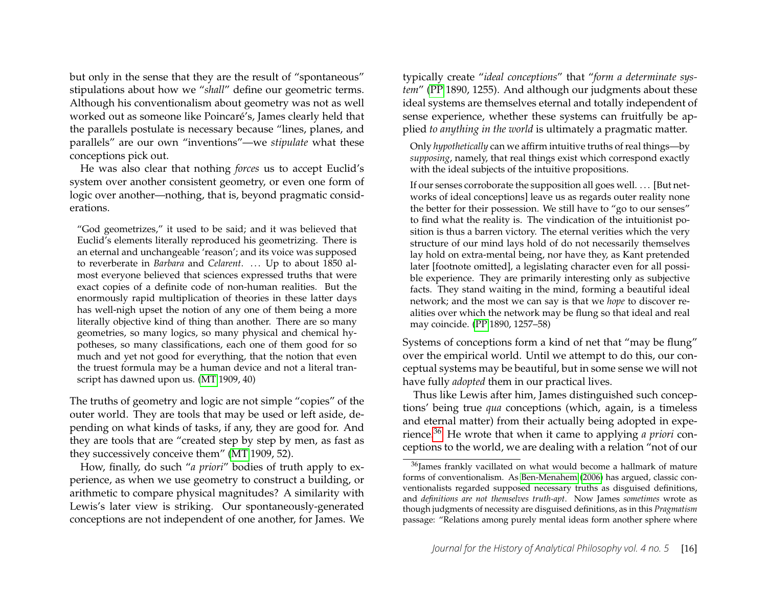but only in the sense that they are the result of "spontaneous" stipulations about how we "*shall*" define our geometric terms. Although his conventionalism about geometry was not as well worked out as someone like Poincaré's, James clearly held that the parallels postulate is necessary because "lines, planes, and parallels" are our own "inventions"—we *stipulate* what these conceptions pick out.

He was also clear that nothing *forces* us to accept Euclid's system over another consistent geometry, or even one form of logic over another—nothing, that is, beyond pragmatic considerations.

"God geometrizes," it used to be said; and it was believed that Euclid's elements literally reproduced his geometrizing. There is an eternal and unchangeable 'reason'; and its voice was supposed to reverberate in *Barbara* and *Celarent*. ... Up to about 1850 almost everyone believed that sciences expressed truths that were exact copies of a definite code of non-human realities. But the enormously rapid multiplication of theories in these latter days has well-nigh upset the notion of any one of them being a more literally objective kind of thing than another. There are so many geometries, so many logics, so many physical and chemical hypotheses, so many classifications, each one of them good for so much and yet not good for everything, that the notion that even the truest formula may be a human device and not a literal transcript has dawned upon us. [\(MT](#page-19-4) 1909, 40)

The truths of geometry and logic are not simple "copies" of the outer world. They are tools that may be used or left aside, depending on what kinds of tasks, if any, they are good for. And they are tools that are "created step by step by men, as fast as they successively conceive them" [\(MT](#page-19-4) 1909, 52).

How, finally, do such "*a priori*" bodies of truth apply to experience, as when we use geometry to construct a building, or arithmetic to compare physical magnitudes? A similarity with Lewis's later view is striking. Our spontaneously-generated conceptions are not independent of one another, for James. We

typically create "*ideal conceptions*" that "*form a determinate system*" [\(PP](#page-19-5) 1890, 1255). And although our judgments about these ideal systems are themselves eternal and totally independent of sense experience, whether these systems can fruitfully be applied *to anything in the world* is ultimately a pragmatic matter.

Only *hypothetically* can we affirm intuitive truths of real things—by *supposing*, namely, that real things exist which correspond exactly with the ideal subjects of the intuitive propositions.

If our senses corroborate the supposition all goes well. . . . [But networks of ideal conceptions] leave us as regards outer reality none the better for their possession. We still have to "go to our senses" to find what the reality is. The vindication of the intuitionist position is thus a barren victory. The eternal verities which the very structure of our mind lays hold of do not necessarily themselves lay hold on extra-mental being, nor have they, as Kant pretended later [footnote omitted], a legislating character even for all possible experience. They are primarily interesting only as subjective facts. They stand waiting in the mind, forming a beautiful ideal network; and the most we can say is that we *hope* to discover realities over which the network may be flung so that ideal and real may coincide. [\(PP](#page-19-5) 1890, 1257–58)

Systems of conceptions form a kind of net that "may be flung" over the empirical world. Until we attempt to do this, our conceptual systems may be beautiful, but in some sense we will not have fully *adopted* them in our practical lives.

Thus like Lewis after him, James distinguished such conceptions' being true *qua* conceptions (which, again, is a timeless and eternal matter) from their actually being adopted in experience.[36](#page-16-0) He wrote that when it came to applying *a priori* conceptions to the world, we are dealing with a relation "not of our

<span id="page-16-0"></span><sup>&</sup>lt;sup>36</sup>James frankly vacillated on what would become a hallmark of mature forms of conventionalism. As [Ben-Menahem](#page-18-4) [\(2006\)](#page-18-4) has argued, classic conventionalists regarded supposed necessary truths as disguised definitions, and *definitions are not themselves truth-apt*. Now James *sometimes* wrote as though judgments of necessity are disguised definitions, as in this *Pragmatism* passage: "Relations among purely mental ideas form another sphere where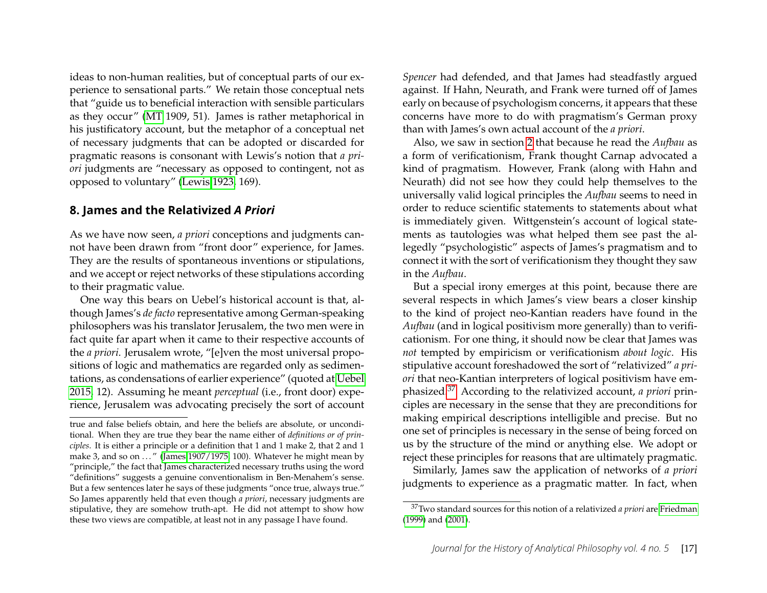ideas to non-human realities, but of conceptual parts of our experience to sensational parts." We retain those conceptual nets that "guide us to beneficial interaction with sensible particulars as they occur" [\(MT](#page-19-4) 1909, 51). James is rather metaphorical in his justificatory account, but the metaphor of a conceptual net of necessary judgments that can be adopted or discarded for pragmatic reasons is consonant with Lewis's notion that *a priori* judgments are "necessary as opposed to contingent, not as opposed to voluntary" [\(Lewis 1923,](#page-20-10) 169).

#### **8. James and the Relativized** *A Priori*

As we have now seen, *a priori* conceptions and judgments cannot have been drawn from "front door" experience, for James. They are the results of spontaneous inventions or stipulations, and we accept or reject networks of these stipulations according to their pragmatic value.

One way this bears on Uebel's historical account is that, although James's *de facto* representative among German-speaking philosophers was his translator Jerusalem, the two men were in fact quite far apart when it came to their respective accounts of the *a priori*. Jerusalem wrote, "[e]ven the most universal propositions of logic and mathematics are regarded only as sedimentations, as condensations of earlier experience" (quoted at [Uebel](#page-21-5) [2015,](#page-21-5) 12). Assuming he meant *perceptual* (i.e., front door) experience, Jerusalem was advocating precisely the sort of account *Spencer* had defended, and that James had steadfastly argued against. If Hahn, Neurath, and Frank were turned off of James early on because of psychologism concerns, it appears that these concerns have more to do with pragmatism's German proxy than with James's own actual account of the *a priori*.

Also, we saw in section [2](#page-2-2) that because he read the *Aufbau* as a form of verificationism, Frank thought Carnap advocated a kind of pragmatism. However, Frank (along with Hahn and Neurath) did not see how they could help themselves to the universally valid logical principles the *Aufbau* seems to need in order to reduce scientific statements to statements about what is immediately given. Wittgenstein's account of logical statements as tautologies was what helped them see past the allegedly "psychologistic" aspects of James's pragmatism and to connect it with the sort of verificationism they thought they saw in the *Aufbau*.

But a special irony emerges at this point, because there are several respects in which James's view bears a closer kinship to the kind of project neo-Kantian readers have found in the *Aufbau* (and in logical positivism more generally) than to verificationism. For one thing, it should now be clear that James was *not* tempted by empiricism or verificationism *about logic*. His stipulative account foreshadowed the sort of "relativized" *a priori* that neo-Kantian interpreters of logical positivism have emphasized.[37](#page-17-0) According to the relativized account, *a priori* principles are necessary in the sense that they are preconditions for making empirical descriptions intelligible and precise. But no one set of principles is necessary in the sense of being forced on us by the structure of the mind or anything else. We adopt or reject these principles for reasons that are ultimately pragmatic.

Similarly, James saw the application of networks of *a priori* judgments to experience as a pragmatic matter. In fact, when

true and false beliefs obtain, and here the beliefs are absolute, or unconditional. When they are true they bear the name either of *definitions or of principles*. It is either a principle or a definition that 1 and 1 make 2, that 2 and 1 make 3, and so on  $\ldots$ " [\(James 1907/1975,](#page-19-17) 100). Whatever he might mean by "principle," the fact that James characterized necessary truths using the word "definitions" suggests a genuine conventionalism in Ben-Menahem's sense. But a few sentences later he says of these judgments "once true, always true." So James apparently held that even though *a priori*, necessary judgments are stipulative, they are somehow truth-apt. He did not attempt to show how these two views are compatible, at least not in any passage I have found.

<span id="page-17-0"></span><sup>37</sup>Two standard sources for this notion of a relativized *a priori* are [Friedman](#page-19-0) [\(1999\)](#page-19-0) and [\(2001\)](#page-19-18).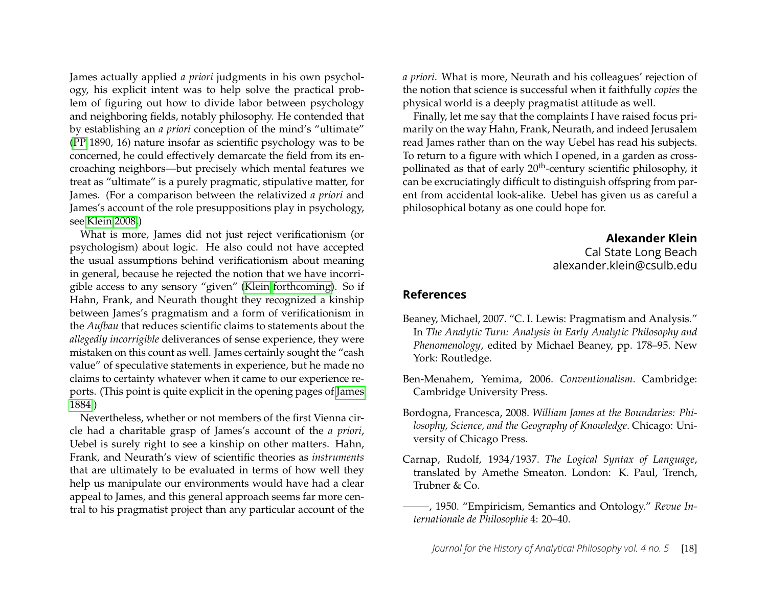James actually applied *a priori* judgments in his own psychology, his explicit intent was to help solve the practical problem of figuring out how to divide labor between psychology and neighboring fields, notably philosophy. He contended that by establishing an *a priori* conception of the mind's "ultimate" [\(PP](#page-19-5) 1890, 16) nature insofar as scientific psychology was to be concerned, he could effectively demarcate the field from its encroaching neighbors—but precisely which mental features we treat as "ultimate" is a purely pragmatic, stipulative matter, for James. (For a comparison between the relativized *a priori* and James's account of the role presuppositions play in psychology, see [Klein 2008.](#page-20-3))

What is more, James did not just reject verificationism (or psychologism) about logic. He also could not have accepted the usual assumptions behind verificationism about meaning in general, because he rejected the notion that we have incorrigible access to any sensory "given" [\(Klein forthcoming\)](#page-20-1). So if Hahn, Frank, and Neurath thought they recognized a kinship between James's pragmatism and a form of verificationism in the *Aufbau* that reduces scientific claims to statements about the *allegedly incorrigible* deliverances of sense experience, they were mistaken on this count as well. James certainly sought the "cash value" of speculative statements in experience, but he made no claims to certainty whatever when it came to our experience reports. (This point is quite explicit in the opening pages of [James](#page-19-19) [1884.](#page-19-19))

Nevertheless, whether or not members of the first Vienna circle had a charitable grasp of James's account of the *a priori*, Uebel is surely right to see a kinship on other matters. Hahn, Frank, and Neurath's view of scientific theories as *instruments* that are ultimately to be evaluated in terms of how well they help us manipulate our environments would have had a clear appeal to James, and this general approach seems far more central to his pragmatist project than any particular account of the *a priori*. What is more, Neurath and his colleagues' rejection of the notion that science is successful when it faithfully *copies* the physical world is a deeply pragmatist attitude as well.

Finally, let me say that the complaints I have raised focus primarily on the way Hahn, Frank, Neurath, and indeed Jerusalem read James rather than on the way Uebel has read his subjects. To return to a figure with which I opened, in a garden as crosspollinated as that of early 20<sup>th</sup>-century scientific philosophy, it can be excruciatingly difficult to distinguish offspring from parent from accidental look-alike. Uebel has given us as careful a philosophical botany as one could hope for.

> **Alexander Klein** Cal State Long Beach alexander.klein@csulb.edu

#### **References**

- <span id="page-18-3"></span>Beaney, Michael, 2007. "C. I. Lewis: Pragmatism and Analysis." In *The Analytic Turn: Analysis in Early Analytic Philosophy and Phenomenology*, edited by Michael Beaney, pp. 178–95. New York: Routledge.
- <span id="page-18-4"></span>Ben-Menahem, Yemima, 2006. *Conventionalism*. Cambridge: Cambridge University Press.
- <span id="page-18-0"></span>Bordogna, Francesca, 2008. *William James at the Boundaries: Philosophy, Science, and the Geography of Knowledge*. Chicago: University of Chicago Press.
- <span id="page-18-1"></span>Carnap, Rudolf, 1934/1937. *The Logical Syntax of Language*, translated by Amethe Smeaton. London: K. Paul, Trench, Trubner & Co.
- <span id="page-18-2"></span>, 1950. "Empiricism, Semantics and Ontology." *Revue Internationale de Philosophie* 4: 20–40.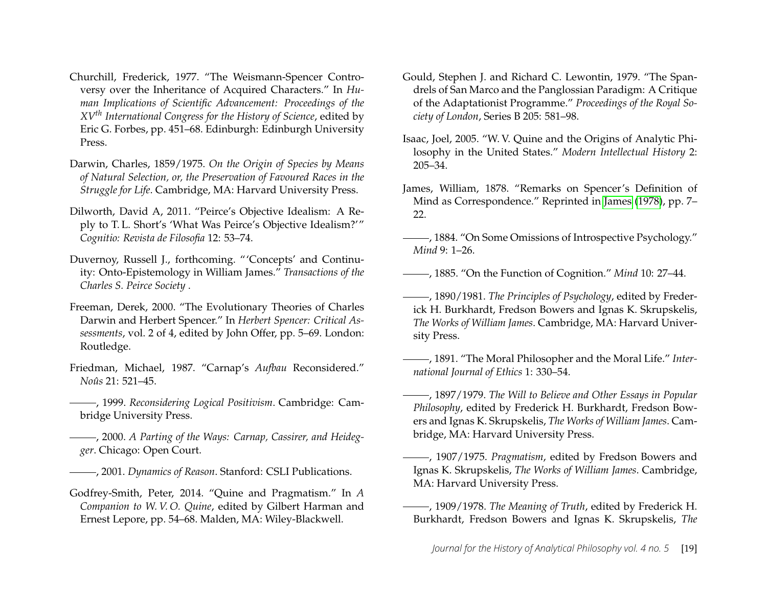- <span id="page-19-16"></span>Churchill, Frederick, 1977. "The Weismann-Spencer Controversy over the Inheritance of Acquired Characters." In *Human Implications of Scientific Advancement: Proceedings of the XVth International Congress for the History of Science*, edited by Eric G. Forbes, pp. 451–68. Edinburgh: Edinburgh University Press.
- <span id="page-19-14"></span>Darwin, Charles, 1859/1975. *On the Origin of Species by Means of Natural Selection, or, the Preservation of Favoured Races in the Struggle for Life*. Cambridge, MA: Harvard University Press.
- <span id="page-19-3"></span>Dilworth, David A, 2011. "Peirce's Objective Idealism: A Reply to T. L. Short's 'What Was Peirce's Objective Idealism?'" *Cognitio: Revista de Filosofia* 12: 53–74.
- <span id="page-19-12"></span>Duvernoy, Russell J., forthcoming. "'Concepts' and Continuity: Onto-Epistemology in William James." *Transactions of the Charles S. Peirce Society* .
- <span id="page-19-15"></span>Freeman, Derek, 2000. "The Evolutionary Theories of Charles Darwin and Herbert Spencer." In *Herbert Spencer: Critical Assessments*, vol. 2 of 4, edited by John Offer, pp. 5–69. London: Routledge.
- <span id="page-19-6"></span>Friedman, Michael, 1987. "Carnap's *Aufbau* Reconsidered." *Noûs* 21: 521–45.
- <span id="page-19-0"></span>, 1999. *Reconsidering Logical Positivism*. Cambridge: Cambridge University Press.
- <span id="page-19-1"></span>, 2000. *A Parting of the Ways: Carnap, Cassirer, and Heidegger*. Chicago: Open Court.
- <span id="page-19-18"></span>, 2001. *Dynamics of Reason*. Stanford: CSLI Publications.
- <span id="page-19-10"></span>Godfrey-Smith, Peter, 2014. "Quine and Pragmatism." In *A Companion to W. V. O. Quine*, edited by Gilbert Harman and Ernest Lepore, pp. 54–68. Malden, MA: Wiley-Blackwell.
- <span id="page-19-8"></span>Gould, Stephen J. and Richard C. Lewontin, 1979. "The Spandrels of San Marco and the Panglossian Paradigm: A Critique of the Adaptationist Programme." *Proceedings of the Royal Society of London*, Series B 205: 581–98.
- <span id="page-19-2"></span>Isaac, Joel, 2005. "W. V. Quine and the Origins of Analytic Philosophy in the United States." *Modern Intellectual History* 2: 205–34.
- <span id="page-19-7"></span>James, William, 1878. "Remarks on Spencer's Definition of Mind as Correspondence." Reprinted in [James](#page-20-4) [\(1978\)](#page-20-4), pp. 7– 22.
- <span id="page-19-19"></span>, 1884. "On Some Omissions of Introspective Psychology." *Mind* 9: 1–26.
- <span id="page-19-13"></span>, 1885. "On the Function of Cognition." *Mind* 10: 27–44.
- <span id="page-19-5"></span>, 1890/1981. *The Principles of Psychology*, edited by Frederick H. Burkhardt, Fredson Bowers and Ignas K. Skrupskelis, *The Works of William James*. Cambridge, MA: Harvard University Press.
- <span id="page-19-9"></span>, 1891. "The Moral Philosopher and the Moral Life." *International Journal of Ethics* 1: 330–54.
- <span id="page-19-11"></span>, 1897/1979. *The Will to Believe and Other Essays in Popular Philosophy*, edited by Frederick H. Burkhardt, Fredson Bowers and Ignas K. Skrupskelis, *The Works of William James*. Cambridge, MA: Harvard University Press.
- <span id="page-19-17"></span>, 1907/1975. *Pragmatism*, edited by Fredson Bowers and Ignas K. Skrupskelis, *The Works of William James*. Cambridge, MA: Harvard University Press.
- <span id="page-19-4"></span>, 1909/1978. *The Meaning of Truth*, edited by Frederick H. Burkhardt, Fredson Bowers and Ignas K. Skrupskelis, *The*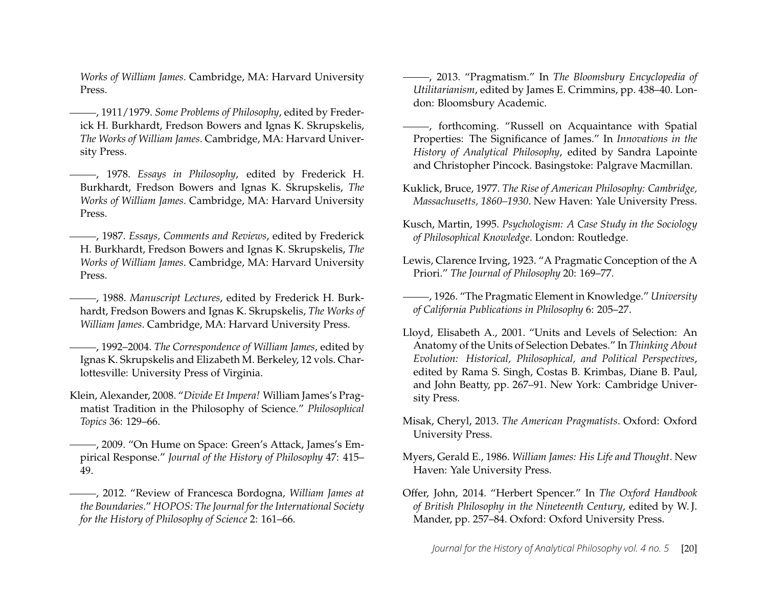*Works of William James*. Cambridge, MA: Harvard University Press.

- <span id="page-20-14"></span>, 1911/1979. *Some Problems of Philosophy*, edited by Frederick H. Burkhardt, Fredson Bowers and Ignas K. Skrupskelis, *The Works of William James*. Cambridge, MA: Harvard University Press.
- <span id="page-20-4"></span>, 1978. *Essays in Philosophy*, edited by Frederick H. Burkhardt, Fredson Bowers and Ignas K. Skrupskelis, *The Works of William James*. Cambridge, MA: Harvard University Press.
- <span id="page-20-17"></span>, 1987. *Essays, Comments and Reviews*, edited by Frederick H. Burkhardt, Fredson Bowers and Ignas K. Skrupskelis, *The Works of William James*. Cambridge, MA: Harvard University Press.
- <span id="page-20-15"></span>, 1988. *Manuscript Lectures*, edited by Frederick H. Burkhardt, Fredson Bowers and Ignas K. Skrupskelis, *The Works of William James*. Cambridge, MA: Harvard University Press.
- <span id="page-20-16"></span>, 1992–2004. *The Correspondence of William James*, edited by Ignas K. Skrupskelis and Elizabeth M. Berkeley, 12 vols. Charlottesville: University Press of Virginia.
- <span id="page-20-3"></span>Klein, Alexander, 2008. "*Divide Et Impera!* William James's Pragmatist Tradition in the Philosophy of Science." *Philosophical Topics* 36: 129–66.
- <span id="page-20-13"></span>, 2009. "On Hume on Space: Green's Attack, James's Empirical Response." *Journal of the History of Philosophy* 47: 415– 49.
- <span id="page-20-9"></span>, 2012. "Review of Francesca Bordogna, *William James at the Boundaries*." *HOPOS: The Journal for the International Society for the History of Philosophy of Science* 2: 161–66.
- <span id="page-20-8"></span>, 2013. "Pragmatism." In *The Bloomsbury Encyclopedia of Utilitarianism*, edited by James E. Crimmins, pp. 438–40. London: Bloomsbury Academic.
- <span id="page-20-1"></span>, forthcoming. "Russell on Acquaintance with Spatial Properties: The Significance of James." In *Innovations in the History of Analytical Philosophy*, edited by Sandra Lapointe and Christopher Pincock. Basingstoke: Palgrave Macmillan.
- <span id="page-20-2"></span>Kuklick, Bruce, 1977. *The Rise of American Philosophy: Cambridge, Massachusetts, 1860–1930*. New Haven: Yale University Press.
- <span id="page-20-5"></span>Kusch, Martin, 1995. *Psychologism: A Case Study in the Sociology of Philosophical Knowledge*. London: Routledge.
- <span id="page-20-10"></span>Lewis, Clarence Irving, 1923. "A Pragmatic Conception of the A Priori." *The Journal of Philosophy* 20: 169–77.
- <span id="page-20-11"></span>, 1926. "The Pragmatic Element in Knowledge." *University of California Publications in Philosophy* 6: 205–27.
- <span id="page-20-7"></span>Lloyd, Elisabeth A., 2001. "Units and Levels of Selection: An Anatomy of the Units of Selection Debates." In *Thinking About Evolution: Historical, Philosophical, and Political Perspectives*, edited by Rama S. Singh, Costas B. Krimbas, Diane B. Paul, and John Beatty, pp. 267–91. New York: Cambridge University Press.
- <span id="page-20-0"></span>Misak, Cheryl, 2013. *The American Pragmatists*. Oxford: Oxford University Press.
- <span id="page-20-12"></span>Myers, Gerald E., 1986. *William James: His Life and Thought*. New Haven: Yale University Press.
- <span id="page-20-6"></span>Offer, John, 2014. "Herbert Spencer." In *The Oxford Handbook of British Philosophy in the Nineteenth Century*, edited by W. J. Mander, pp. 257–84. Oxford: Oxford University Press.